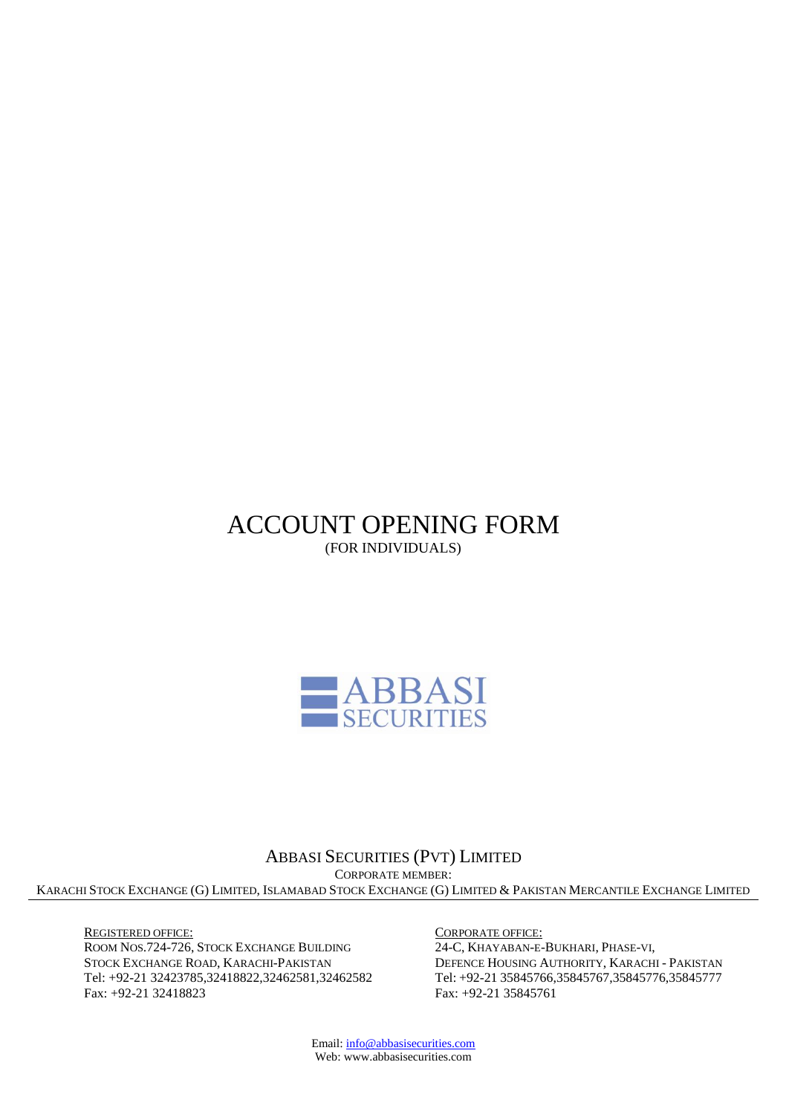ACCOUNT OPENING FORM (FOR INDIVIDUALS)



ABBASI SECURITIES (PVT) LIMITED CORPORATE MEMBER: KARACHI STOCK EXCHANGE (G) LIMITED, ISLAMABAD STOCK EXCHANGE (G) LIMITED & PAKISTAN MERCANTILE EXCHANGE LIMITED

REGISTERED OFFICE: ROOM NOS.724-726, STOCK EXCHANGE BUILDING STOCK EXCHANGE ROAD, KARACHI-PAKISTAN Tel: +92-21 [32423785,32418822,32462581,32462](Tel:+92-2132423785,32418822,32410228,32424866)582 Fax: +92-21 32418823

CORPORATE OFFICE:

24-C, KHAYABAN-E-BUKHARI, PHASE-VI, DEFENCE HOUSING AUTHORITY, KARACHI - PAKISTAN Tel: +92-21 [35845766,35845767,35845776,35845777](Tel:+92-2132423785,32418822,32410228,32424866) Fax: +92-21 35845761

Email[: info@abbasisecurities.com](mailto:info@abbasisecurities.com) Web: www.abbasisecurities.com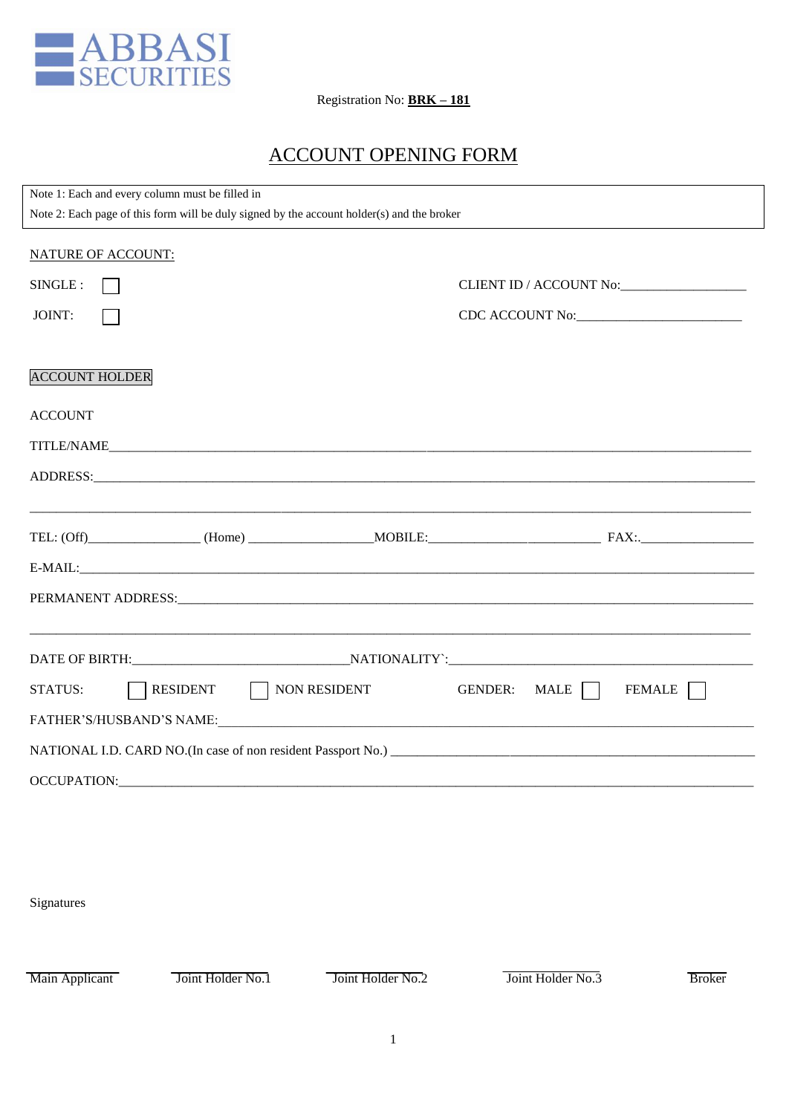

Registration No: **BRK – 181**

# ACCOUNT OPENING FORM

| Note 1: Each and every column must be filled in<br>Note 2: Each page of this form will be duly signed by the account holder(s) and the broker |                                             |
|-----------------------------------------------------------------------------------------------------------------------------------------------|---------------------------------------------|
| <b>NATURE OF ACCOUNT:</b>                                                                                                                     |                                             |
| SINGLE :                                                                                                                                      | CLIENT ID / ACCOUNT No:                     |
| JOINT:                                                                                                                                        | CDC ACCOUNT No:                             |
| <b>ACCOUNT HOLDER</b>                                                                                                                         |                                             |
| <b>ACCOUNT</b>                                                                                                                                |                                             |
| TITLE/NAME                                                                                                                                    |                                             |
|                                                                                                                                               |                                             |
|                                                                                                                                               |                                             |
|                                                                                                                                               |                                             |
|                                                                                                                                               |                                             |
|                                                                                                                                               |                                             |
| RESIDENT NON RESIDENT<br><b>STATUS:</b>                                                                                                       | MALE    <br><b>GENDER:</b><br><b>FEMALE</b> |
| FATHER'S/HUSBAND'S NAME:                                                                                                                      |                                             |
|                                                                                                                                               |                                             |
|                                                                                                                                               |                                             |

Signatures

Main Applicant Joint Holder No.1 Joint Holder No.2 Joint Holder No.3 Broker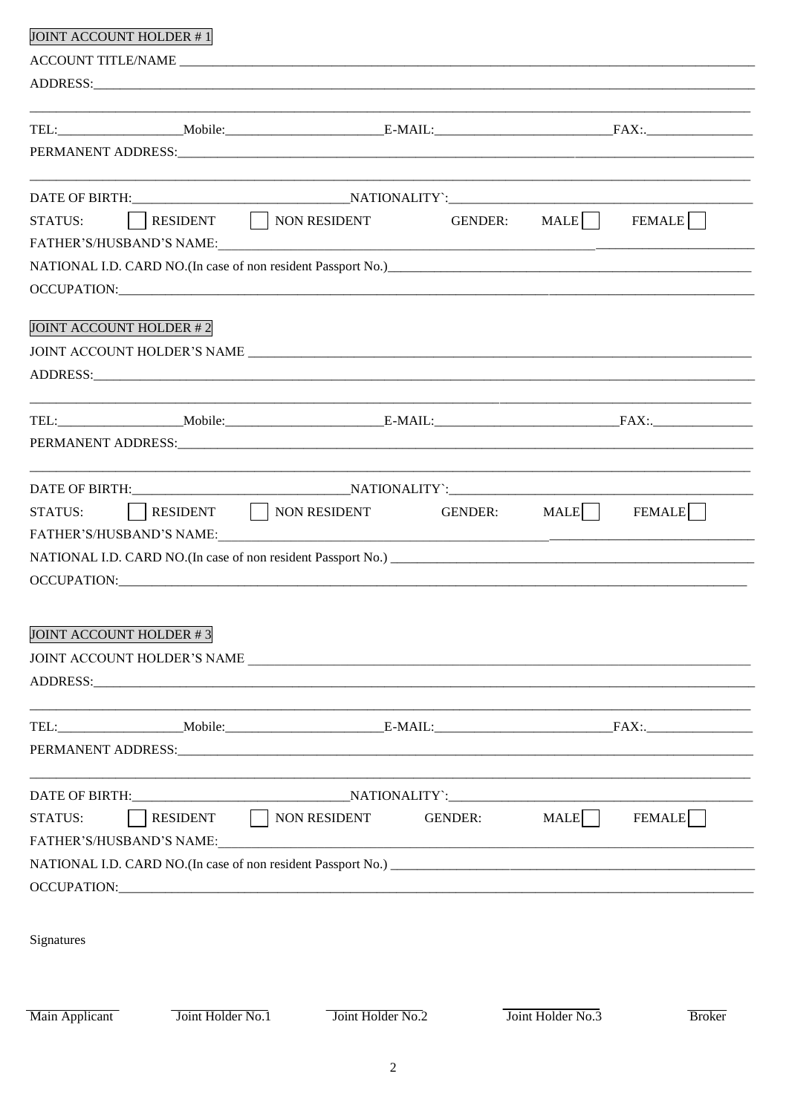| <b>JOINT ACCOUNT HOLDER #1</b> |                   |                                                                                                                                                                                                                                                                                                                                                                                                                                                                  |                   |               |
|--------------------------------|-------------------|------------------------------------------------------------------------------------------------------------------------------------------------------------------------------------------------------------------------------------------------------------------------------------------------------------------------------------------------------------------------------------------------------------------------------------------------------------------|-------------------|---------------|
|                                |                   |                                                                                                                                                                                                                                                                                                                                                                                                                                                                  |                   |               |
|                                |                   | ADDRESS: North and the contract of the contract of the contract of the contract of the contract of the contract of the contract of the contract of the contract of the contract of the contract of the contract of the contrac                                                                                                                                                                                                                                   |                   |               |
|                                |                   |                                                                                                                                                                                                                                                                                                                                                                                                                                                                  |                   |               |
|                                |                   |                                                                                                                                                                                                                                                                                                                                                                                                                                                                  |                   |               |
|                                |                   |                                                                                                                                                                                                                                                                                                                                                                                                                                                                  |                   |               |
|                                |                   |                                                                                                                                                                                                                                                                                                                                                                                                                                                                  |                   |               |
| STATUS:                        |                   | RESIDENT NON RESIDENT GENDER: MALE                                                                                                                                                                                                                                                                                                                                                                                                                               |                   | <b>FEMALE</b> |
|                                |                   |                                                                                                                                                                                                                                                                                                                                                                                                                                                                  |                   |               |
|                                |                   |                                                                                                                                                                                                                                                                                                                                                                                                                                                                  |                   |               |
|                                |                   |                                                                                                                                                                                                                                                                                                                                                                                                                                                                  |                   |               |
| <b>JOINT ACCOUNT HOLDER #2</b> |                   |                                                                                                                                                                                                                                                                                                                                                                                                                                                                  |                   |               |
|                                |                   |                                                                                                                                                                                                                                                                                                                                                                                                                                                                  |                   |               |
|                                |                   |                                                                                                                                                                                                                                                                                                                                                                                                                                                                  |                   |               |
|                                |                   |                                                                                                                                                                                                                                                                                                                                                                                                                                                                  |                   |               |
|                                |                   |                                                                                                                                                                                                                                                                                                                                                                                                                                                                  |                   |               |
|                                |                   |                                                                                                                                                                                                                                                                                                                                                                                                                                                                  |                   |               |
|                                |                   |                                                                                                                                                                                                                                                                                                                                                                                                                                                                  |                   |               |
| <b>STATUS:</b>                 |                   | RESIDENT   NON RESIDENT GENDER: MALE                                                                                                                                                                                                                                                                                                                                                                                                                             |                   | <b>FEMALE</b> |
|                                |                   |                                                                                                                                                                                                                                                                                                                                                                                                                                                                  |                   |               |
|                                |                   |                                                                                                                                                                                                                                                                                                                                                                                                                                                                  |                   |               |
|                                |                   |                                                                                                                                                                                                                                                                                                                                                                                                                                                                  |                   |               |
|                                |                   |                                                                                                                                                                                                                                                                                                                                                                                                                                                                  |                   |               |
| JOINT ACCOUNT HOLDER #3        |                   |                                                                                                                                                                                                                                                                                                                                                                                                                                                                  |                   |               |
|                                |                   |                                                                                                                                                                                                                                                                                                                                                                                                                                                                  |                   |               |
|                                |                   | JOINT ACCOUNT HOLDER'S NAME NAME SERVICE OF A SERVICE OF A SERVICE OF A SERVICE OF A SERVICE OF A SERVICE OF A SERVICE OF A SERVICE OF A SERVICE OF A SERVICE OF A SERVICE OF A SERVICE OF A SERVICE OF A SERVICE OF A SERVICE<br>ADDRESS: North and the contract of the contract of the contract of the contract of the contract of the contract of the contract of the contract of the contract of the contract of the contract of the contract of the contrac |                   |               |
|                                |                   |                                                                                                                                                                                                                                                                                                                                                                                                                                                                  |                   |               |
|                                |                   | TEL: Mobile: B-MAIL: FAX:.                                                                                                                                                                                                                                                                                                                                                                                                                                       |                   |               |
|                                |                   |                                                                                                                                                                                                                                                                                                                                                                                                                                                                  |                   |               |
|                                |                   |                                                                                                                                                                                                                                                                                                                                                                                                                                                                  |                   |               |
|                                |                   |                                                                                                                                                                                                                                                                                                                                                                                                                                                                  |                   |               |
| STATUS:                        |                   | RESIDENT NON RESIDENT GENDER:                                                                                                                                                                                                                                                                                                                                                                                                                                    | MALE <sup>1</sup> | <b>FEMALE</b> |
|                                |                   |                                                                                                                                                                                                                                                                                                                                                                                                                                                                  |                   |               |
|                                |                   |                                                                                                                                                                                                                                                                                                                                                                                                                                                                  |                   |               |
|                                |                   |                                                                                                                                                                                                                                                                                                                                                                                                                                                                  |                   |               |
|                                |                   |                                                                                                                                                                                                                                                                                                                                                                                                                                                                  |                   |               |
| Signatures                     |                   |                                                                                                                                                                                                                                                                                                                                                                                                                                                                  |                   |               |
|                                |                   |                                                                                                                                                                                                                                                                                                                                                                                                                                                                  |                   |               |
| Main Applicant                 | Joint Holder No.1 | Joint Holder No.2                                                                                                                                                                                                                                                                                                                                                                                                                                                | Joint Holder No.3 | <b>Broker</b> |
|                                |                   |                                                                                                                                                                                                                                                                                                                                                                                                                                                                  |                   |               |
|                                |                   | 2                                                                                                                                                                                                                                                                                                                                                                                                                                                                |                   |               |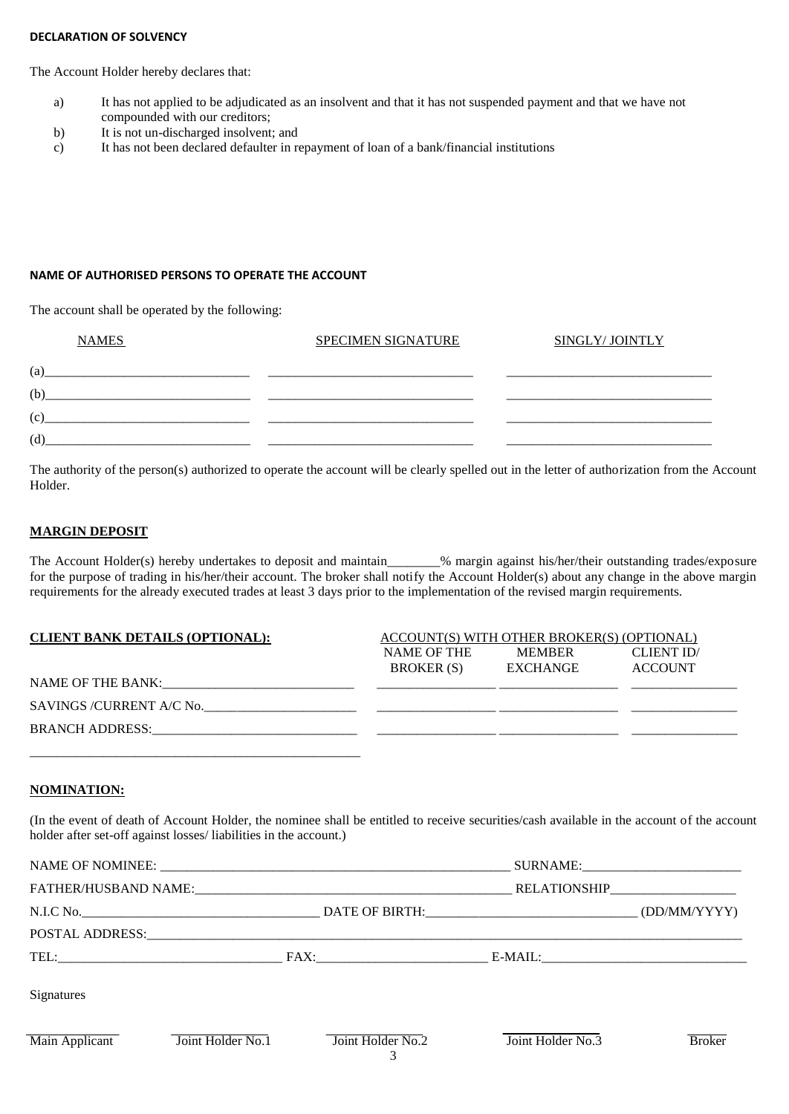### **DECLARATION OF SOLVENCY**

The Account Holder hereby declares that:

- a) It has not applied to be adjudicated as an insolvent and that it has not suspended payment and that we have not compounded with our creditors;
- b) It is not un-discharged insolvent; and
- c) It has not been declared defaulter in repayment of loan of a bank/financial institutions

#### **NAME OF AUTHORISED PERSONS TO OPERATE THE ACCOUNT**

The account shall be operated by the following:

| <b>NAMES</b> | <b>SPECIMEN SIGNATURE</b> | SINGLY/ JOINTLY |
|--------------|---------------------------|-----------------|
| (a)          |                           |                 |
| (b)          |                           |                 |
| (c)          |                           |                 |
| (d)          |                           |                 |

The authority of the person(s) authorized to operate the account will be clearly spelled out in the letter of authorization from the Account Holder.

#### **MARGIN DEPOSIT**

The Account Holder(s) hereby undertakes to deposit and maintain\_\_\_\_\_\_\_% margin against his/her/their outstanding trades/exposure for the purpose of trading in his/her/their account. The broker shall notify the Account Holder(s) about any change in the above margin requirements for the already executed trades at least 3 days prior to the implementation of the revised margin requirements.

| <b>CLIENT BANK DETAILS (OPTIONAL):</b><br>ACCOUNT(S) WITH OTHER BROKER(S) (OPTIONAL) |                                  |                                  |                              |  |  |  |  |  |  |  |
|--------------------------------------------------------------------------------------|----------------------------------|----------------------------------|------------------------------|--|--|--|--|--|--|--|
|                                                                                      | NAME OF THE<br><b>BROKER</b> (S) | <b>MEMBER</b><br><b>EXCHANGE</b> | CLIENT ID/<br><b>ACCOUNT</b> |  |  |  |  |  |  |  |
| NAME OF THE BANK:                                                                    |                                  |                                  |                              |  |  |  |  |  |  |  |
| SAVINGS / CURRENT A/C No.                                                            |                                  |                                  |                              |  |  |  |  |  |  |  |
|                                                                                      |                                  |                                  |                              |  |  |  |  |  |  |  |
|                                                                                      |                                  |                                  |                              |  |  |  |  |  |  |  |

### **NOMINATION:**

(In the event of death of Account Holder, the nominee shall be entitled to receive securities/cash available in the account of the account holder after set-off against losses/ liabilities in the account.)

|                |                   |                   |                   | SURNAME:      |
|----------------|-------------------|-------------------|-------------------|---------------|
|                |                   |                   |                   |               |
|                |                   |                   |                   | (DD/MM/YYYY)  |
|                |                   |                   |                   |               |
|                |                   |                   |                   |               |
| Signatures     |                   |                   |                   |               |
| Main Applicant | Joint Holder No.1 | Joint Holder No.2 | Joint Holder No.3 | <b>Broker</b> |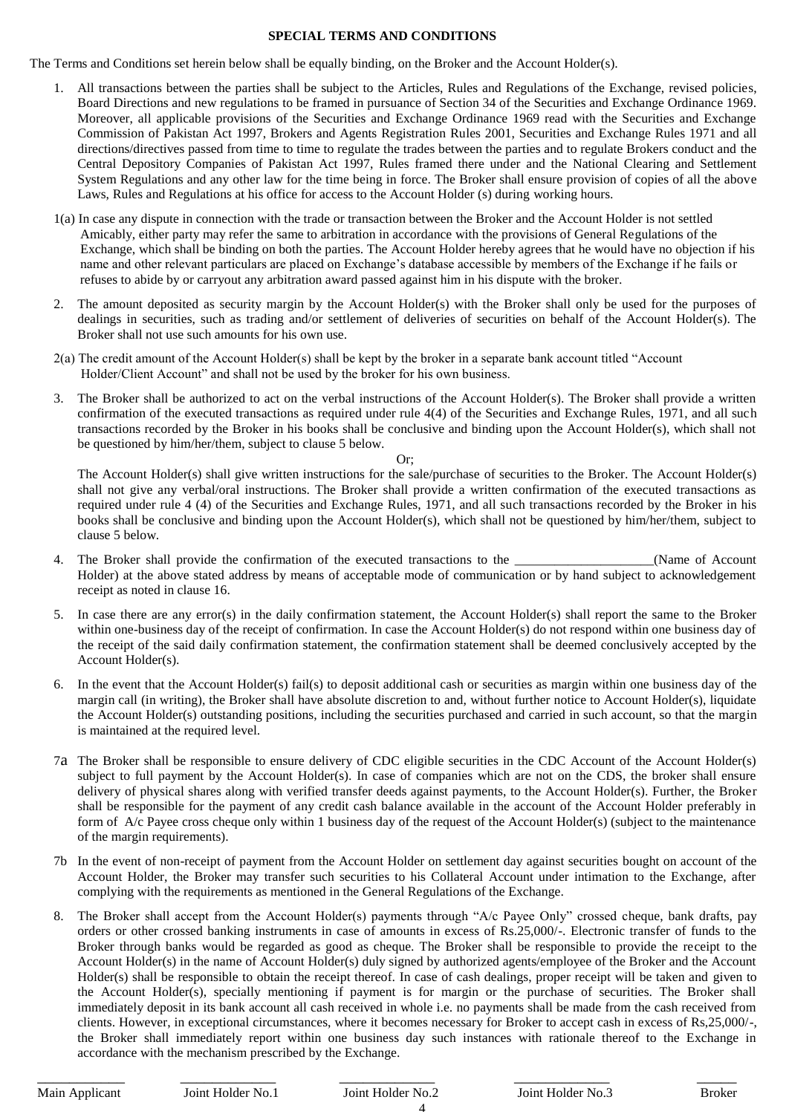#### **SPECIAL TERMS AND CONDITIONS**

The Terms and Conditions set herein below shall be equally binding, on the Broker and the Account Holder(s).

- 1. All transactions between the parties shall be subject to the Articles, Rules and Regulations of the Exchange, revised policies, Board Directions and new regulations to be framed in pursuance of Section 34 of the Securities and Exchange Ordinance 1969. Moreover, all applicable provisions of the Securities and Exchange Ordinance 1969 read with the Securities and Exchange Commission of Pakistan Act 1997, Brokers and Agents Registration Rules 2001, Securities and Exchange Rules 1971 and all directions/directives passed from time to time to regulate the trades between the parties and to regulate Brokers conduct and the Central Depository Companies of Pakistan Act 1997, Rules framed there under and the National Clearing and Settlement System Regulations and any other law for the time being in force. The Broker shall ensure provision of copies of all the above Laws, Rules and Regulations at his office for access to the Account Holder (s) during working hours.
- 1(a) In case any dispute in connection with the trade or transaction between the Broker and the Account Holder is not settled Amicably, either party may refer the same to arbitration in accordance with the provisions of General Regulations of the Exchange, which shall be binding on both the parties. The Account Holder hereby agrees that he would have no objection if his name and other relevant particulars are placed on Exchange's database accessible by members of the Exchange if he fails or refuses to abide by or carryout any arbitration award passed against him in his dispute with the broker.
- 2. The amount deposited as security margin by the Account Holder(s) with the Broker shall only be used for the purposes of dealings in securities, such as trading and/or settlement of deliveries of securities on behalf of the Account Holder(s). The Broker shall not use such amounts for his own use.
- 2(a) The credit amount of the Account Holder(s) shall be kept by the broker in a separate bank account titled "Account Holder/Client Account" and shall not be used by the broker for his own business.
- 3. The Broker shall be authorized to act on the verbal instructions of the Account Holder(s). The Broker shall provide a written confirmation of the executed transactions as required under rule 4(4) of the Securities and Exchange Rules, 1971, and all such transactions recorded by the Broker in his books shall be conclusive and binding upon the Account Holder(s), which shall not be questioned by him/her/them, subject to clause 5 below.

#### Or;

The Account Holder(s) shall give written instructions for the sale/purchase of securities to the Broker. The Account Holder(s) shall not give any verbal/oral instructions. The Broker shall provide a written confirmation of the executed transactions as required under rule 4 (4) of the Securities and Exchange Rules, 1971, and all such transactions recorded by the Broker in his books shall be conclusive and binding upon the Account Holder(s), which shall not be questioned by him/her/them, subject to clause 5 below.

- 4. The Broker shall provide the confirmation of the executed transactions to the  $\blacksquare$  (Name of Account Holder) at the above stated address by means of acceptable mode of communication or by hand subject to acknowledgement receipt as noted in clause 16.
- 5. In case there are any error(s) in the daily confirmation statement, the Account Holder(s) shall report the same to the Broker within one-business day of the receipt of confirmation. In case the Account Holder(s) do not respond within one business day of the receipt of the said daily confirmation statement, the confirmation statement shall be deemed conclusively accepted by the Account Holder(s).
- 6. In the event that the Account Holder(s) fail(s) to deposit additional cash or securities as margin within one business day of the margin call (in writing), the Broker shall have absolute discretion to and, without further notice to Account Holder(s), liquidate the Account Holder(s) outstanding positions, including the securities purchased and carried in such account, so that the margin is maintained at the required level.
- 7a The Broker shall be responsible to ensure delivery of CDC eligible securities in the CDC Account of the Account Holder(s) subject to full payment by the Account Holder(s). In case of companies which are not on the CDS, the broker shall ensure delivery of physical shares along with verified transfer deeds against payments, to the Account Holder(s). Further, the Broker shall be responsible for the payment of any credit cash balance available in the account of the Account Holder preferably in form of A/c Payee cross cheque only within 1 business day of the request of the Account Holder(s) (subject to the maintenance of the margin requirements).
- 7b In the event of non-receipt of payment from the Account Holder on settlement day against securities bought on account of the Account Holder, the Broker may transfer such securities to his Collateral Account under intimation to the Exchange, after complying with the requirements as mentioned in the General Regulations of the Exchange.
- 8. The Broker shall accept from the Account Holder(s) payments through "A/c Payee Only" crossed cheque, bank drafts, pay orders or other crossed banking instruments in case of amounts in excess of Rs.25,000/-. Electronic transfer of funds to the Broker through banks would be regarded as good as cheque. The Broker shall be responsible to provide the receipt to the Account Holder(s) in the name of Account Holder(s) duly signed by authorized agents/employee of the Broker and the Account Holder(s) shall be responsible to obtain the receipt thereof. In case of cash dealings, proper receipt will be taken and given to the Account Holder(s), specially mentioning if payment is for margin or the purchase of securities. The Broker shall immediately deposit in its bank account all cash received in whole i.e. no payments shall be made from the cash received from clients. However, in exceptional circumstances, where it becomes necessary for Broker to accept cash in excess of Rs,25,000/-, the Broker shall immediately report within one business day such instances with rationale thereof to the Exchange in accordance with the mechanism prescribed by the Exchange.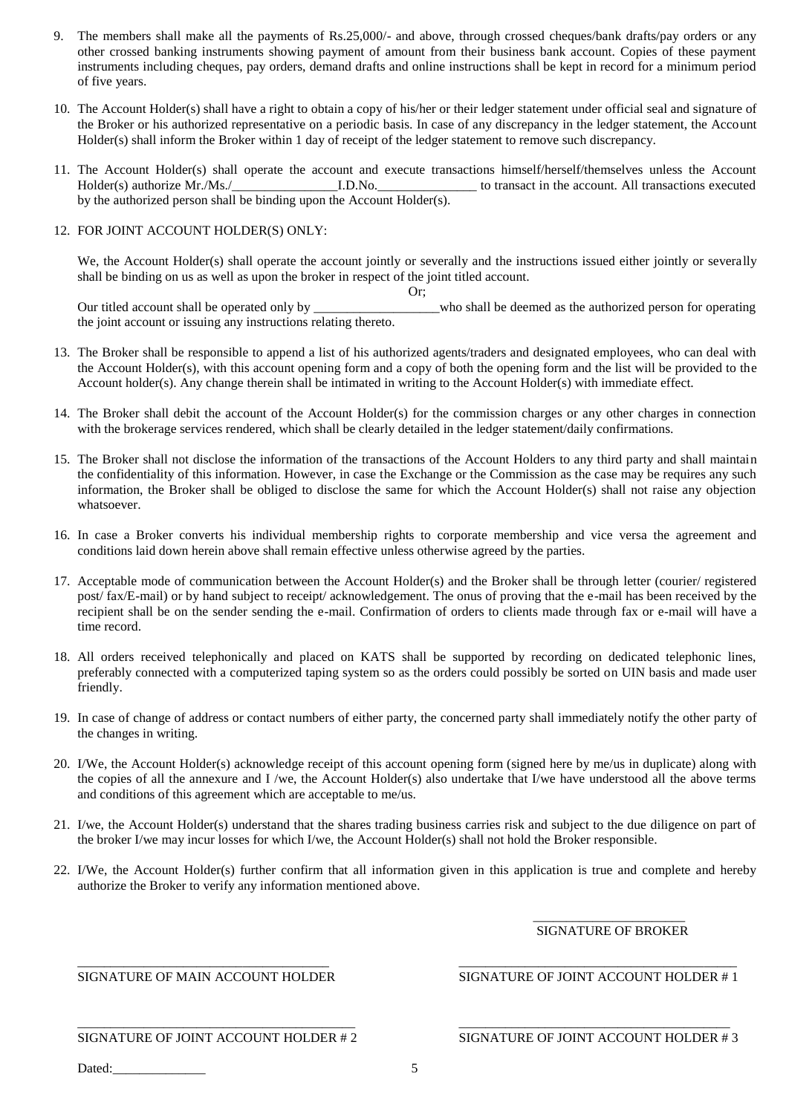- 9. The members shall make all the payments of Rs.25,000/- and above, through crossed cheques/bank drafts/pay orders or any other crossed banking instruments showing payment of amount from their business bank account. Copies of these payment instruments including cheques, pay orders, demand drafts and online instructions shall be kept in record for a minimum period of five years.
- 10. The Account Holder(s) shall have a right to obtain a copy of his/her or their ledger statement under official seal and signature of the Broker or his authorized representative on a periodic basis. In case of any discrepancy in the ledger statement, the Account Holder(s) shall inform the Broker within 1 day of receipt of the ledger statement to remove such discrepancy.
- 11. The Account Holder(s) shall operate the account and execute transactions himself/herself/themselves unless the Account Holder(s) authorize Mr./Ms./\_\_\_\_\_\_\_\_\_\_\_\_\_\_\_\_I.D.No.\_\_\_\_\_\_\_\_\_\_\_\_\_\_\_ to transact in the account. All transactions executed by the authorized person shall be binding upon the Account Holder(s).

### 12. FOR JOINT ACCOUNT HOLDER(S) ONLY:

We, the Account Holder(s) shall operate the account jointly or severally and the instructions issued either jointly or severally shall be binding on us as well as upon the broker in respect of the joint titled account.

Or; Our titled account shall be operated only by \_\_\_\_\_\_\_\_\_\_\_\_\_\_\_\_\_\_\_who shall be deemed as the authorized person for operating the joint account or issuing any instructions relating thereto.

- 13. The Broker shall be responsible to append a list of his authorized agents/traders and designated employees, who can deal with the Account Holder(s), with this account opening form and a copy of both the opening form and the list will be provided to the Account holder(s). Any change therein shall be intimated in writing to the Account Holder(s) with immediate effect.
- 14. The Broker shall debit the account of the Account Holder(s) for the commission charges or any other charges in connection with the brokerage services rendered, which shall be clearly detailed in the ledger statement/daily confirmations.
- 15. The Broker shall not disclose the information of the transactions of the Account Holders to any third party and shall maintain the confidentiality of this information. However, in case the Exchange or the Commission as the case may be requires any such information, the Broker shall be obliged to disclose the same for which the Account Holder(s) shall not raise any objection whatsoever.
- 16. In case a Broker converts his individual membership rights to corporate membership and vice versa the agreement and conditions laid down herein above shall remain effective unless otherwise agreed by the parties.
- 17. Acceptable mode of communication between the Account Holder(s) and the Broker shall be through letter (courier/ registered post/ fax/E-mail) or by hand subject to receipt/ acknowledgement. The onus of proving that the e-mail has been received by the recipient shall be on the sender sending the e-mail. Confirmation of orders to clients made through fax or e-mail will have a time record.
- 18. All orders received telephonically and placed on KATS shall be supported by recording on dedicated telephonic lines, preferably connected with a computerized taping system so as the orders could possibly be sorted on UIN basis and made user friendly.
- 19. In case of change of address or contact numbers of either party, the concerned party shall immediately notify the other party of the changes in writing.
- 20. I/We, the Account Holder(s) acknowledge receipt of this account opening form (signed here by me/us in duplicate) along with the copies of all the annexure and I /we, the Account Holder(s) also undertake that I/we have understood all the above terms and conditions of this agreement which are acceptable to me/us.
- 21. I/we, the Account Holder(s) understand that the shares trading business carries risk and subject to the due diligence on part of the broker I/we may incur losses for which I/we, the Account Holder(s) shall not hold the Broker responsible.
- 22. I/We, the Account Holder(s) further confirm that all information given in this application is true and complete and hereby authorize the Broker to verify any information mentioned above.

#### $\frac{1}{2}$  ,  $\frac{1}{2}$  ,  $\frac{1}{2}$  ,  $\frac{1}{2}$  ,  $\frac{1}{2}$  ,  $\frac{1}{2}$  ,  $\frac{1}{2}$  ,  $\frac{1}{2}$  ,  $\frac{1}{2}$  ,  $\frac{1}{2}$  ,  $\frac{1}{2}$  ,  $\frac{1}{2}$  ,  $\frac{1}{2}$  ,  $\frac{1}{2}$  ,  $\frac{1}{2}$  ,  $\frac{1}{2}$  ,  $\frac{1}{2}$  ,  $\frac{1}{2}$  ,  $\frac{1$ SIGNATURE OF BROKER

\_\_\_\_\_\_\_\_\_\_\_\_\_\_\_\_\_\_\_\_\_\_\_\_\_\_\_\_\_\_\_\_\_\_\_\_\_\_ \_\_\_\_\_\_\_\_\_\_\_\_\_\_\_\_\_\_\_\_\_\_\_\_\_\_\_\_\_\_\_\_\_\_\_\_\_\_\_\_\_\_

## SIGNATURE OF MAIN ACCOUNT HOLDER SIGNATURE OF JOINT ACCOUNT HOLDER #1

#### \_\_\_\_\_\_\_\_\_\_\_\_\_\_\_\_\_\_\_\_\_\_\_\_\_\_\_\_\_\_\_\_\_\_\_\_\_\_\_\_\_\_ \_\_\_\_\_\_\_\_\_\_\_\_\_\_\_\_\_\_\_\_\_\_\_\_\_\_\_\_\_\_\_\_\_\_\_\_\_\_\_\_\_ SIGNATURE OF JOINT ACCOUNT HOLDER # 2 SIGNATURE OF JOINT ACCOUNT HOLDER # 3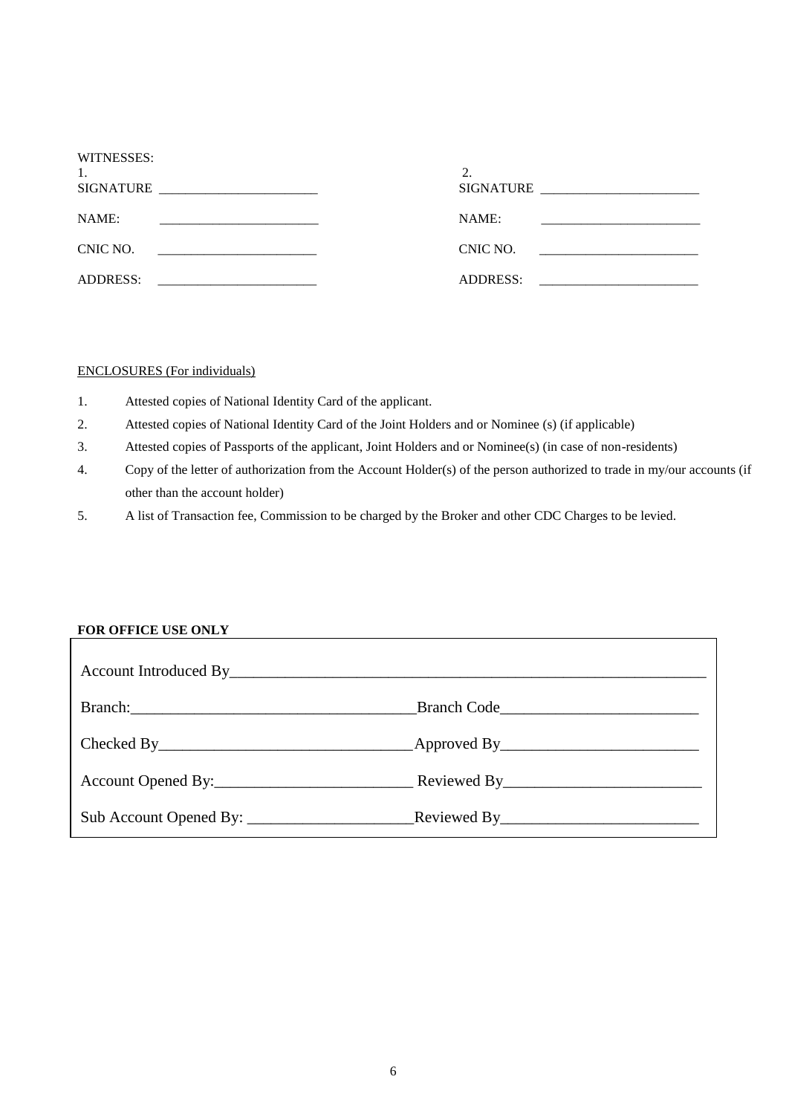| WITNESSES:<br>1.<br>SIGNATURE<br><u> 1989 - Johann John Stone, mars et al. (</u>       | ٠.<br>SIGNATURE |
|----------------------------------------------------------------------------------------|-----------------|
| NAME:                                                                                  | NAME:           |
| CNIC NO.<br>the control of the control of the control of the control of the control of | CNIC NO.        |
| <b>ADDRESS:</b>                                                                        | <b>ADDRESS:</b> |

### ENCLOSURES (For individuals)

- 1. Attested copies of National Identity Card of the applicant.
- 2. Attested copies of National Identity Card of the Joint Holders and or Nominee (s) (if applicable)
- 3. Attested copies of Passports of the applicant, Joint Holders and or Nominee(s) (in case of non-residents)
- 4. Copy of the letter of authorization from the Account Holder(s) of the person authorized to trade in my/our accounts (if other than the account holder)
- 5. A list of Transaction fee, Commission to be charged by the Broker and other CDC Charges to be levied.

# **FOR OFFICE USE ONLY**

| Branch Code |
|-------------|
|             |
|             |
|             |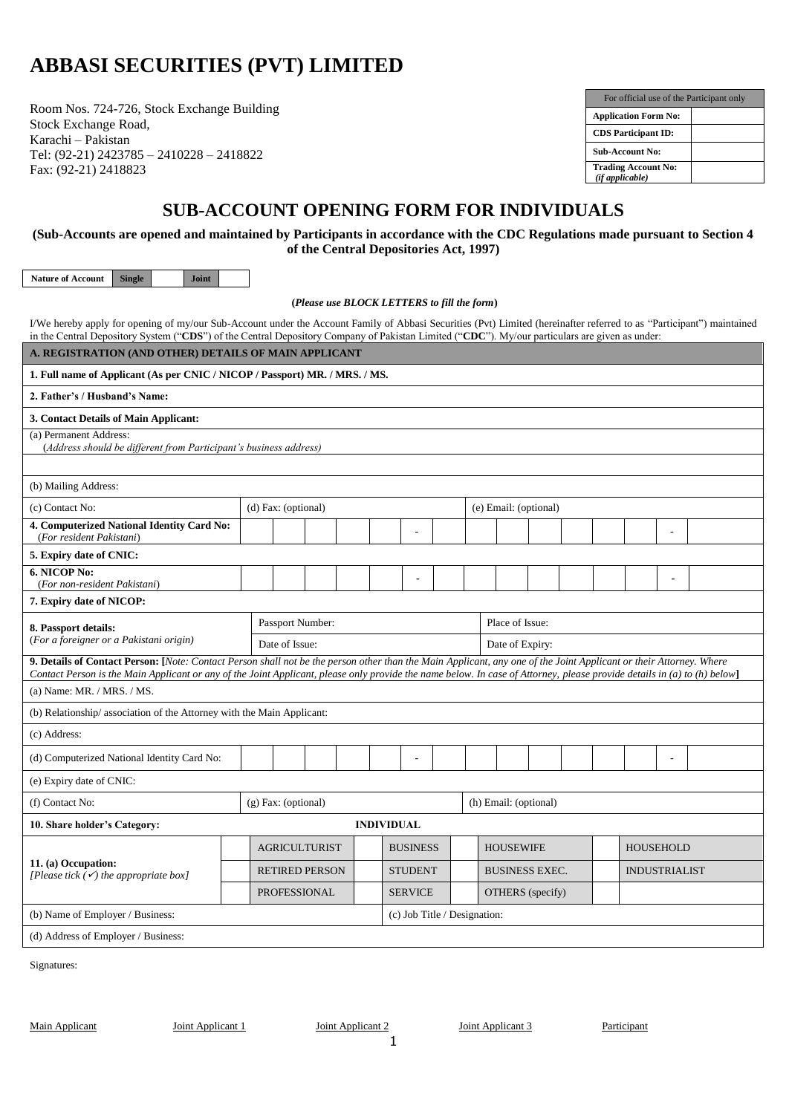# **ABBASI SECURITIES (PVT) LIMITED**

Room Nos. 724-726, Stock Exchange Building Stock Exchange Road, Karachi – Pakistan Tel: (92-21) 2423785 – 2410228 – 2418822 Fax: (92-21) 2418823

| For official use of the Participant only      |  |
|-----------------------------------------------|--|
| <b>Application Form No:</b>                   |  |
| <b>CDS</b> Participant <b>ID</b> :            |  |
| <b>Sub-Account No:</b>                        |  |
| <b>Trading Account No:</b><br>(if applicable) |  |

# **SUB-ACCOUNT OPENING FORM FOR INDIVIDUALS**

**(Sub-Accounts are opened and maintained by Participants in accordance with the CDC Regulations made pursuant to Section 4 of the Central Depositories Act, 1997)**

**Nature of Account Single Joint**

**(***Please use BLOCK LETTERS to fill the form***)**

I/We hereby apply for opening of my/our Sub-Account under the Account Family of Abbasi Securities (Pvt) Limited (hereinafter referred to as "Participant") maintained in the Central Depository System ("**CDS**") of the Central Depository Company of Pakistan Limited ("**CDC**"). My/our particulars are given as under:

| A. REGISTRATION (AND OTHER) DETAILS OF MAIN APPLICANT                                                                                                                                                                                                                                                                                          |  |                       |                       |  |                   |                              |  |  |                       |  |  |  |                      |                  |  |
|------------------------------------------------------------------------------------------------------------------------------------------------------------------------------------------------------------------------------------------------------------------------------------------------------------------------------------------------|--|-----------------------|-----------------------|--|-------------------|------------------------------|--|--|-----------------------|--|--|--|----------------------|------------------|--|
| 1. Full name of Applicant (As per CNIC / NICOP / Passport) MR. / MRS. / MS.                                                                                                                                                                                                                                                                    |  |                       |                       |  |                   |                              |  |  |                       |  |  |  |                      |                  |  |
| 2. Father's / Husband's Name:                                                                                                                                                                                                                                                                                                                  |  |                       |                       |  |                   |                              |  |  |                       |  |  |  |                      |                  |  |
| 3. Contact Details of Main Applicant:                                                                                                                                                                                                                                                                                                          |  |                       |                       |  |                   |                              |  |  |                       |  |  |  |                      |                  |  |
| (a) Permanent Address:<br>(Address should be different from Participant's business address)                                                                                                                                                                                                                                                    |  |                       |                       |  |                   |                              |  |  |                       |  |  |  |                      |                  |  |
|                                                                                                                                                                                                                                                                                                                                                |  |                       |                       |  |                   |                              |  |  |                       |  |  |  |                      |                  |  |
| (b) Mailing Address:                                                                                                                                                                                                                                                                                                                           |  |                       |                       |  |                   |                              |  |  |                       |  |  |  |                      |                  |  |
| (c) Contact No:<br>(d) Fax: (optional)<br>(e) Email: (optional)                                                                                                                                                                                                                                                                                |  |                       |                       |  |                   |                              |  |  |                       |  |  |  |                      |                  |  |
| 4. Computerized National Identity Card No:<br>(For resident Pakistani)                                                                                                                                                                                                                                                                         |  |                       |                       |  |                   |                              |  |  |                       |  |  |  |                      |                  |  |
| 5. Expiry date of CNIC:                                                                                                                                                                                                                                                                                                                        |  |                       |                       |  |                   |                              |  |  |                       |  |  |  |                      |                  |  |
| 6. NICOP No:<br>(For non-resident Pakistani)                                                                                                                                                                                                                                                                                                   |  |                       |                       |  |                   | $\blacksquare$               |  |  |                       |  |  |  |                      | $\blacksquare$   |  |
| 7. Expiry date of NICOP:                                                                                                                                                                                                                                                                                                                       |  |                       |                       |  |                   |                              |  |  |                       |  |  |  |                      |                  |  |
| 8. Passport details:                                                                                                                                                                                                                                                                                                                           |  |                       | Passport Number:      |  |                   |                              |  |  | Place of Issue:       |  |  |  |                      |                  |  |
| (For a foreigner or a Pakistani origin)                                                                                                                                                                                                                                                                                                        |  | Date of Issue:        |                       |  |                   |                              |  |  | Date of Expiry:       |  |  |  |                      |                  |  |
| 9. Details of Contact Person: [Note: Contact Person shall not be the person other than the Main Applicant, any one of the Joint Applicant or their Attorney. Where<br>Contact Person is the Main Applicant or any of the Joint Applicant, please only provide the name below. In case of Attorney, please provide details in (a) to (h) below] |  |                       |                       |  |                   |                              |  |  |                       |  |  |  |                      |                  |  |
| (a) Name: MR. / MRS. / MS.                                                                                                                                                                                                                                                                                                                     |  |                       |                       |  |                   |                              |  |  |                       |  |  |  |                      |                  |  |
| (b) Relationship/association of the Attorney with the Main Applicant:                                                                                                                                                                                                                                                                          |  |                       |                       |  |                   |                              |  |  |                       |  |  |  |                      |                  |  |
| (c) Address:                                                                                                                                                                                                                                                                                                                                   |  |                       |                       |  |                   |                              |  |  |                       |  |  |  |                      |                  |  |
| (d) Computerized National Identity Card No:                                                                                                                                                                                                                                                                                                    |  |                       |                       |  |                   |                              |  |  |                       |  |  |  |                      |                  |  |
| (e) Expiry date of CNIC:                                                                                                                                                                                                                                                                                                                       |  |                       |                       |  |                   |                              |  |  |                       |  |  |  |                      |                  |  |
| (f) Contact No:                                                                                                                                                                                                                                                                                                                                |  | $(g)$ Fax: (optional) |                       |  |                   |                              |  |  | (h) Email: (optional) |  |  |  |                      |                  |  |
| 10. Share holder's Category:                                                                                                                                                                                                                                                                                                                   |  |                       |                       |  | <b>INDIVIDUAL</b> |                              |  |  |                       |  |  |  |                      |                  |  |
|                                                                                                                                                                                                                                                                                                                                                |  |                       | <b>AGRICULTURIST</b>  |  |                   | <b>BUSINESS</b>              |  |  | <b>HOUSEWIFE</b>      |  |  |  |                      | <b>HOUSEHOLD</b> |  |
| 11. (a) Occupation:<br>[Please tick $\overline{(\checkmark)}$ the appropriate box]                                                                                                                                                                                                                                                             |  |                       | <b>RETIRED PERSON</b> |  |                   | <b>STUDENT</b>               |  |  | <b>BUSINESS EXEC.</b> |  |  |  | <b>INDUSTRIALIST</b> |                  |  |
|                                                                                                                                                                                                                                                                                                                                                |  |                       | <b>PROFESSIONAL</b>   |  |                   | <b>SERVICE</b>               |  |  | OTHERS (specify)      |  |  |  |                      |                  |  |
| (b) Name of Employer / Business:                                                                                                                                                                                                                                                                                                               |  |                       |                       |  |                   | (c) Job Title / Designation: |  |  |                       |  |  |  |                      |                  |  |
| (d) Address of Employer / Business:                                                                                                                                                                                                                                                                                                            |  |                       |                       |  |                   |                              |  |  |                       |  |  |  |                      |                  |  |

Signatures: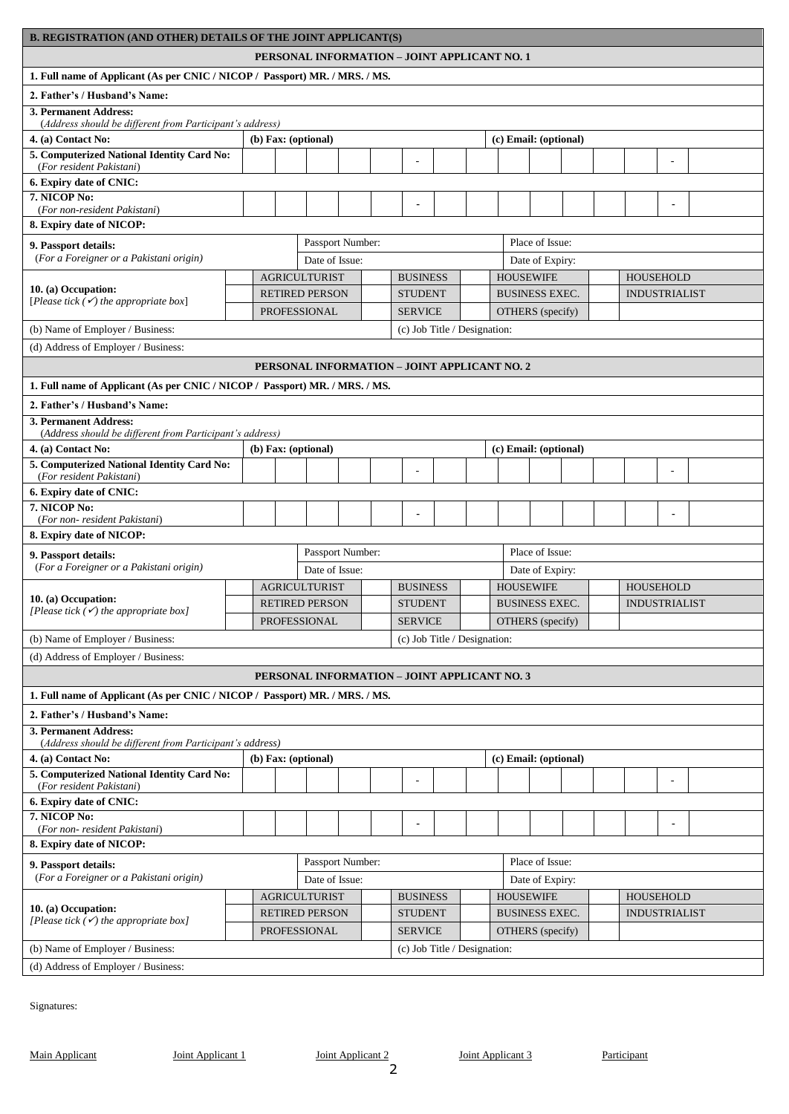| <b>B. REGISTRATION (AND OTHER) DETAILS OF THE JOINT APPLICANT(S)</b>                                                                        |  |                                       |  |                       |  |                  |                |                                              |  |  |  |                       |                                     |  |                      |                      |                      |  |  |
|---------------------------------------------------------------------------------------------------------------------------------------------|--|---------------------------------------|--|-----------------------|--|------------------|----------------|----------------------------------------------|--|--|--|-----------------------|-------------------------------------|--|----------------------|----------------------|----------------------|--|--|
| PERSONAL INFORMATION - JOINT APPLICANT NO. 1                                                                                                |  |                                       |  |                       |  |                  |                |                                              |  |  |  |                       |                                     |  |                      |                      |                      |  |  |
| 1. Full name of Applicant (As per CNIC / NICOP / Passport) MR. / MRS. / MS.                                                                 |  |                                       |  |                       |  |                  |                |                                              |  |  |  |                       |                                     |  |                      |                      |                      |  |  |
| 2. Father's / Husband's Name:                                                                                                               |  |                                       |  |                       |  |                  |                |                                              |  |  |  |                       |                                     |  |                      |                      |                      |  |  |
| 3. Permanent Address:<br>(Address should be different from Participant's address)                                                           |  |                                       |  |                       |  |                  |                |                                              |  |  |  |                       |                                     |  |                      |                      |                      |  |  |
| 4. (a) Contact No:                                                                                                                          |  |                                       |  | (b) Fax: (optional)   |  |                  |                |                                              |  |  |  |                       | (c) Email: (optional)               |  |                      |                      |                      |  |  |
| 5. Computerized National Identity Card No:<br>(For resident Pakistani)                                                                      |  |                                       |  |                       |  |                  |                |                                              |  |  |  |                       |                                     |  |                      |                      |                      |  |  |
| 6. Expiry date of CNIC:                                                                                                                     |  |                                       |  |                       |  |                  |                |                                              |  |  |  |                       |                                     |  |                      |                      |                      |  |  |
| 7. NICOP No:<br>(For non-resident Pakistani)                                                                                                |  |                                       |  |                       |  |                  |                | $\blacksquare$                               |  |  |  |                       |                                     |  |                      |                      |                      |  |  |
| 8. Expiry date of NICOP:                                                                                                                    |  |                                       |  |                       |  |                  |                |                                              |  |  |  |                       |                                     |  |                      |                      |                      |  |  |
| Passport Number:<br>Place of Issue:<br>9. Passport details:<br>(For a Foreigner or a Pakistani origin)<br>Date of Issue:<br>Date of Expiry: |  |                                       |  |                       |  |                  |                |                                              |  |  |  |                       |                                     |  |                      |                      |                      |  |  |
| <b>AGRICULTURIST</b><br><b>BUSINESS</b><br><b>HOUSEWIFE</b><br><b>HOUSEHOLD</b>                                                             |  |                                       |  |                       |  |                  |                |                                              |  |  |  |                       |                                     |  |                      |                      |                      |  |  |
| 10. (a) Occupation:                                                                                                                         |  |                                       |  | <b>RETIRED PERSON</b> |  |                  |                | <b>STUDENT</b>                               |  |  |  |                       | <b>BUSINESS EXEC.</b>               |  |                      |                      | <b>INDUSTRIALIST</b> |  |  |
| [Please tick $(\checkmark)$ the appropriate box]                                                                                            |  |                                       |  | <b>PROFESSIONAL</b>   |  |                  |                | <b>SERVICE</b>                               |  |  |  |                       | OTHERS (specify)                    |  |                      |                      |                      |  |  |
| (b) Name of Employer / Business:                                                                                                            |  |                                       |  |                       |  |                  |                | (c) Job Title / Designation:                 |  |  |  |                       |                                     |  |                      |                      |                      |  |  |
| (d) Address of Employer / Business:                                                                                                         |  |                                       |  |                       |  |                  |                |                                              |  |  |  |                       |                                     |  |                      |                      |                      |  |  |
|                                                                                                                                             |  |                                       |  |                       |  |                  |                | PERSONAL INFORMATION - JOINT APPLICANT NO. 2 |  |  |  |                       |                                     |  |                      |                      |                      |  |  |
| 1. Full name of Applicant (As per CNIC / NICOP / Passport) MR. / MRS. / MS.                                                                 |  |                                       |  |                       |  |                  |                |                                              |  |  |  |                       |                                     |  |                      |                      |                      |  |  |
|                                                                                                                                             |  |                                       |  |                       |  |                  |                |                                              |  |  |  |                       |                                     |  |                      |                      |                      |  |  |
| 2. Father's / Husband's Name:<br>3. Permanent Address:<br>(Address should be different from Participant's address)                          |  |                                       |  |                       |  |                  |                |                                              |  |  |  |                       |                                     |  |                      |                      |                      |  |  |
| 4. (a) Contact No:                                                                                                                          |  |                                       |  | (b) Fax: (optional)   |  |                  |                |                                              |  |  |  |                       | (c) Email: (optional)               |  |                      |                      |                      |  |  |
| 5. Computerized National Identity Card No:                                                                                                  |  |                                       |  |                       |  |                  |                |                                              |  |  |  |                       |                                     |  |                      |                      |                      |  |  |
| (For resident Pakistani)                                                                                                                    |  |                                       |  |                       |  |                  |                |                                              |  |  |  |                       |                                     |  |                      |                      |                      |  |  |
| 6. Expiry date of CNIC:<br>7. NICOP No:                                                                                                     |  |                                       |  |                       |  |                  |                |                                              |  |  |  |                       |                                     |  |                      |                      |                      |  |  |
| (For non-resident Pakistani)                                                                                                                |  |                                       |  |                       |  |                  |                | $\blacksquare$                               |  |  |  |                       |                                     |  |                      |                      |                      |  |  |
| 8. Expiry date of NICOP:                                                                                                                    |  |                                       |  |                       |  |                  |                |                                              |  |  |  |                       |                                     |  |                      |                      |                      |  |  |
| 9. Passport details:                                                                                                                        |  |                                       |  |                       |  | Passport Number: |                |                                              |  |  |  |                       | Place of Issue:                     |  |                      |                      |                      |  |  |
| (For a Foreigner or a Pakistani origin)                                                                                                     |  |                                       |  | Date of Issue:        |  |                  |                |                                              |  |  |  |                       | Date of Expiry:                     |  |                      |                      |                      |  |  |
| 10. (a) Occupation:                                                                                                                         |  |                                       |  | <b>AGRICULTURIST</b>  |  |                  |                | <b>BUSINESS</b>                              |  |  |  | <b>HOUSEWIFE</b>      |                                     |  |                      | <b>HOUSEHOLD</b>     |                      |  |  |
| [Please tick $(\checkmark)$ the appropriate box]                                                                                            |  |                                       |  | <b>RETIRED PERSON</b> |  |                  |                | <b>STUDENT</b>                               |  |  |  |                       | <b>BUSINESS EXEC.</b>               |  |                      | <b>INDUSTRIALIST</b> |                      |  |  |
|                                                                                                                                             |  |                                       |  | PROFESSIONAL          |  |                  |                | OTHERS (specify)<br><b>SERVICE</b>           |  |  |  |                       |                                     |  |                      |                      |                      |  |  |
| (b) Name of Employer / Business:                                                                                                            |  |                                       |  |                       |  |                  |                | (c) Job Title / Designation:                 |  |  |  |                       |                                     |  |                      |                      |                      |  |  |
| (d) Address of Employer / Business:                                                                                                         |  |                                       |  |                       |  |                  |                |                                              |  |  |  |                       |                                     |  |                      |                      |                      |  |  |
|                                                                                                                                             |  |                                       |  |                       |  |                  |                | PERSONAL INFORMATION - JOINT APPLICANT NO. 3 |  |  |  |                       |                                     |  |                      |                      |                      |  |  |
| 1. Full name of Applicant (As per CNIC / NICOP / Passport) MR. / MRS. / MS.                                                                 |  |                                       |  |                       |  |                  |                |                                              |  |  |  |                       |                                     |  |                      |                      |                      |  |  |
| 2. Father's / Husband's Name:                                                                                                               |  |                                       |  |                       |  |                  |                |                                              |  |  |  |                       |                                     |  |                      |                      |                      |  |  |
| <b>3. Permanent Address:</b><br>(Address should be different from Participant's address)                                                    |  |                                       |  |                       |  |                  |                |                                              |  |  |  |                       |                                     |  |                      |                      |                      |  |  |
| 4. (a) Contact No:                                                                                                                          |  |                                       |  | (b) Fax: (optional)   |  |                  |                |                                              |  |  |  |                       | (c) Email: (optional)               |  |                      |                      |                      |  |  |
| 5. Computerized National Identity Card No:<br>(For resident Pakistani)                                                                      |  |                                       |  |                       |  |                  |                |                                              |  |  |  |                       |                                     |  |                      |                      |                      |  |  |
| 6. Expiry date of CNIC:                                                                                                                     |  |                                       |  |                       |  |                  |                |                                              |  |  |  |                       |                                     |  |                      |                      |                      |  |  |
| 7. NICOP No:                                                                                                                                |  |                                       |  |                       |  |                  |                | $\blacksquare$                               |  |  |  |                       |                                     |  |                      |                      | $\blacksquare$       |  |  |
| (For non-resident Pakistani)                                                                                                                |  |                                       |  |                       |  |                  |                |                                              |  |  |  |                       |                                     |  |                      |                      |                      |  |  |
| 8. Expiry date of NICOP:                                                                                                                    |  |                                       |  |                       |  |                  |                |                                              |  |  |  |                       | Place of Issue:                     |  |                      |                      |                      |  |  |
| 9. Passport details:<br>(For a Foreigner or a Pakistani origin)                                                                             |  |                                       |  | Date of Issue:        |  | Passport Number: |                |                                              |  |  |  |                       |                                     |  |                      |                      |                      |  |  |
|                                                                                                                                             |  |                                       |  |                       |  |                  |                |                                              |  |  |  |                       | Date of Expiry:<br><b>HOUSEWIFE</b> |  | <b>HOUSEHOLD</b>     |                      |                      |  |  |
| 10. (a) Occupation:                                                                                                                         |  |                                       |  | <b>AGRICULTURIST</b>  |  |                  |                | <b>BUSINESS</b><br><b>STUDENT</b>            |  |  |  | <b>BUSINESS EXEC.</b> |                                     |  | <b>INDUSTRIALIST</b> |                      |                      |  |  |
| [Please tick $(\checkmark)$ the appropriate box]                                                                                            |  | <b>RETIRED PERSON</b><br>PROFESSIONAL |  |                       |  |                  | <b>SERVICE</b> |                                              |  |  |  | OTHERS (specify)      |                                     |  |                      |                      |                      |  |  |
| (b) Name of Employer / Business:                                                                                                            |  |                                       |  |                       |  |                  |                | (c) Job Title / Designation:                 |  |  |  |                       |                                     |  |                      |                      |                      |  |  |
| (d) Address of Employer / Business:                                                                                                         |  |                                       |  |                       |  |                  |                |                                              |  |  |  |                       |                                     |  |                      |                      |                      |  |  |
|                                                                                                                                             |  |                                       |  |                       |  |                  |                |                                              |  |  |  |                       |                                     |  |                      |                      |                      |  |  |

Signatures: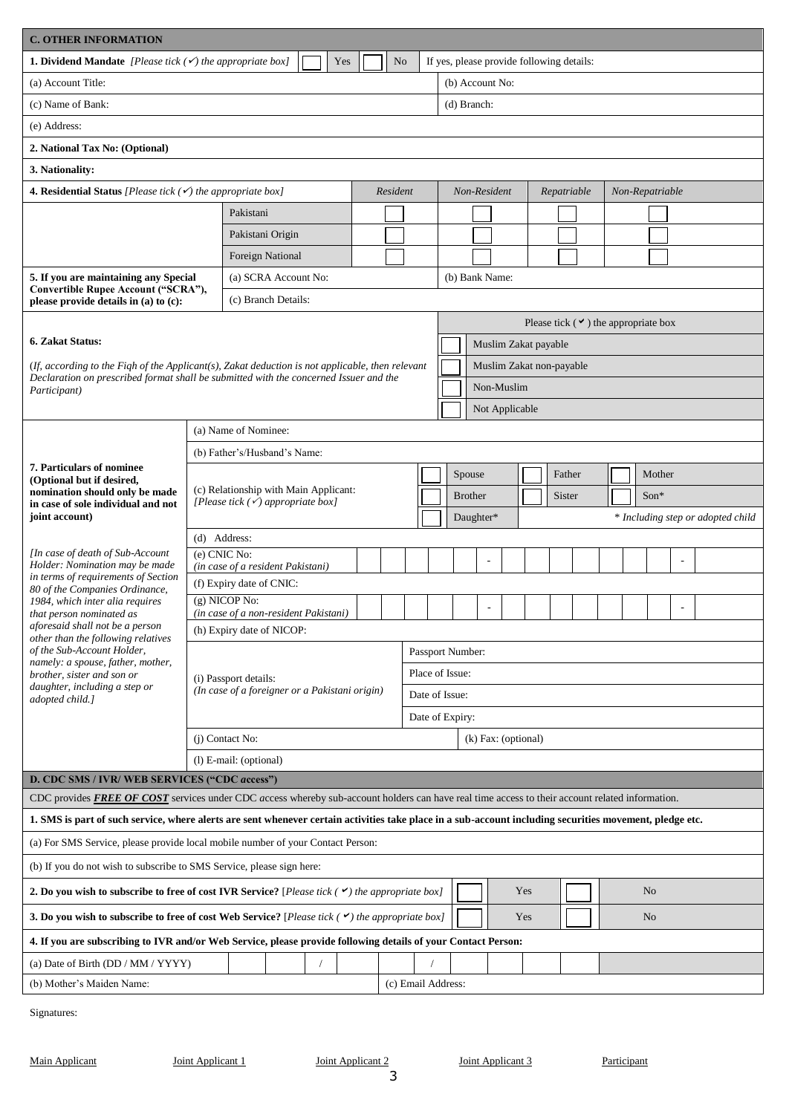| <b>C. OTHER INFORMATION</b>                                                                                                                                                                                           |                                                            |                                                                                       |                |  |                |                    |                  |                 |                      |  |     |  |                                           |  |  |                 |                |  |  |                                   |  |  |  |  |  |  |
|-----------------------------------------------------------------------------------------------------------------------------------------------------------------------------------------------------------------------|------------------------------------------------------------|---------------------------------------------------------------------------------------|----------------|--|----------------|--------------------|------------------|-----------------|----------------------|--|-----|--|-------------------------------------------|--|--|-----------------|----------------|--|--|-----------------------------------|--|--|--|--|--|--|
| <b>1. Dividend Mandate</b> [Please tick $(\checkmark)$ the appropriate box]                                                                                                                                           |                                                            |                                                                                       | Yes            |  | N <sub>o</sub> |                    |                  |                 |                      |  |     |  | If yes, please provide following details: |  |  |                 |                |  |  |                                   |  |  |  |  |  |  |
| (a) Account Title:                                                                                                                                                                                                    |                                                            |                                                                                       |                |  |                |                    |                  | (b) Account No: |                      |  |     |  |                                           |  |  |                 |                |  |  |                                   |  |  |  |  |  |  |
| (c) Name of Bank:                                                                                                                                                                                                     |                                                            |                                                                                       |                |  |                |                    |                  | (d) Branch:     |                      |  |     |  |                                           |  |  |                 |                |  |  |                                   |  |  |  |  |  |  |
| (e) Address:                                                                                                                                                                                                          |                                                            |                                                                                       |                |  |                |                    |                  |                 |                      |  |     |  |                                           |  |  |                 |                |  |  |                                   |  |  |  |  |  |  |
| 2. National Tax No: (Optional)                                                                                                                                                                                        |                                                            |                                                                                       |                |  |                |                    |                  |                 |                      |  |     |  |                                           |  |  |                 |                |  |  |                                   |  |  |  |  |  |  |
| 3. Nationality:                                                                                                                                                                                                       |                                                            |                                                                                       |                |  |                |                    |                  |                 |                      |  |     |  |                                           |  |  |                 |                |  |  |                                   |  |  |  |  |  |  |
| <b>4. Residential Status</b> [Please tick $(\checkmark)$ the appropriate box]                                                                                                                                         |                                                            |                                                                                       |                |  | Resident       |                    |                  | Non-Resident    |                      |  |     |  | Repatriable                               |  |  | Non-Repatriable |                |  |  |                                   |  |  |  |  |  |  |
|                                                                                                                                                                                                                       |                                                            | Pakistani                                                                             |                |  |                |                    |                  |                 |                      |  |     |  |                                           |  |  |                 |                |  |  |                                   |  |  |  |  |  |  |
|                                                                                                                                                                                                                       |                                                            | Pakistani Origin                                                                      |                |  |                |                    |                  |                 |                      |  |     |  |                                           |  |  |                 |                |  |  |                                   |  |  |  |  |  |  |
|                                                                                                                                                                                                                       |                                                            | Foreign National                                                                      |                |  |                |                    |                  |                 |                      |  |     |  |                                           |  |  |                 |                |  |  |                                   |  |  |  |  |  |  |
| 5. If you are maintaining any Special                                                                                                                                                                                 |                                                            | (a) SCRA Account No:                                                                  | (b) Bank Name: |  |                |                    |                  |                 |                      |  |     |  |                                           |  |  |                 |                |  |  |                                   |  |  |  |  |  |  |
| please provide details in (a) to (c):                                                                                                                                                                                 | Convertible Rupee Account ("SCRA"),<br>(c) Branch Details: |                                                                                       |                |  |                |                    |                  |                 |                      |  |     |  |                                           |  |  |                 |                |  |  |                                   |  |  |  |  |  |  |
| Please tick $(\vee)$ the appropriate box                                                                                                                                                                              |                                                            |                                                                                       |                |  |                |                    |                  |                 |                      |  |     |  |                                           |  |  |                 |                |  |  |                                   |  |  |  |  |  |  |
| 6. Zakat Status:                                                                                                                                                                                                      |                                                            |                                                                                       |                |  |                |                    |                  |                 | Muslim Zakat payable |  |     |  |                                           |  |  |                 |                |  |  |                                   |  |  |  |  |  |  |
| (If, according to the Figh of the Applicant(s), Zakat deduction is not applicable, then relevant<br>Muslim Zakat non-payable<br>Declaration on prescribed format shall be submitted with the concerned Issuer and the |                                                            |                                                                                       |                |  |                |                    |                  |                 |                      |  |     |  |                                           |  |  |                 |                |  |  |                                   |  |  |  |  |  |  |
| Participant)                                                                                                                                                                                                          |                                                            |                                                                                       |                |  |                |                    |                  |                 | Non-Muslim           |  |     |  |                                           |  |  |                 |                |  |  |                                   |  |  |  |  |  |  |
|                                                                                                                                                                                                                       |                                                            |                                                                                       |                |  |                |                    |                  |                 | Not Applicable       |  |     |  |                                           |  |  |                 |                |  |  |                                   |  |  |  |  |  |  |
|                                                                                                                                                                                                                       |                                                            | (a) Name of Nominee:                                                                  |                |  |                |                    |                  |                 |                      |  |     |  |                                           |  |  |                 |                |  |  |                                   |  |  |  |  |  |  |
|                                                                                                                                                                                                                       |                                                            | (b) Father's/Husband's Name:                                                          |                |  |                |                    |                  |                 |                      |  |     |  |                                           |  |  |                 |                |  |  |                                   |  |  |  |  |  |  |
| 7. Particulars of nominee<br>(Optional but if desired,                                                                                                                                                                |                                                            |                                                                                       | Spouse         |  |                |                    |                  |                 | Father               |  |     |  | Mother                                    |  |  |                 |                |  |  |                                   |  |  |  |  |  |  |
| nomination should only be made<br>in case of sole individual and not                                                                                                                                                  |                                                            | (c) Relationship with Main Applicant:<br>[Please tick $(\checkmark)$ appropriate box] |                |  |                |                    |                  |                 | <b>Brother</b>       |  |     |  | Sister                                    |  |  |                 | $Son*$         |  |  |                                   |  |  |  |  |  |  |
| joint account)                                                                                                                                                                                                        |                                                            |                                                                                       |                |  |                |                    |                  |                 | Daughter*            |  |     |  |                                           |  |  |                 |                |  |  | * Including step or adopted child |  |  |  |  |  |  |
|                                                                                                                                                                                                                       |                                                            | (d) Address:                                                                          |                |  |                |                    |                  |                 |                      |  |     |  |                                           |  |  |                 |                |  |  |                                   |  |  |  |  |  |  |
| [In case of death of Sub-Account<br>Holder: Nomination may be made                                                                                                                                                    |                                                            | (e) CNIC No:<br>(in case of a resident Pakistani)                                     |                |  |                |                    |                  |                 |                      |  |     |  |                                           |  |  |                 |                |  |  |                                   |  |  |  |  |  |  |
| in terms of requirements of Section<br>80 of the Companies Ordinance,                                                                                                                                                 |                                                            | (f) Expiry date of CNIC:                                                              |                |  |                |                    |                  |                 |                      |  |     |  |                                           |  |  |                 |                |  |  |                                   |  |  |  |  |  |  |
| 1984, which inter alia requires<br>that person nominated as                                                                                                                                                           |                                                            | (g) NICOP No:<br>(in case of a non-resident Pakistani)                                |                |  |                |                    |                  |                 |                      |  |     |  |                                           |  |  |                 |                |  |  |                                   |  |  |  |  |  |  |
| aforesaid shall not be a person<br>other than the following relatives                                                                                                                                                 |                                                            | (h) Expiry date of NICOP:                                                             |                |  |                |                    |                  |                 |                      |  |     |  |                                           |  |  |                 |                |  |  |                                   |  |  |  |  |  |  |
| of the Sub-Account Holder,                                                                                                                                                                                            |                                                            |                                                                                       |                |  |                |                    | Passport Number: |                 |                      |  |     |  |                                           |  |  |                 |                |  |  |                                   |  |  |  |  |  |  |
| namely: a spouse, father, mother,<br>brother, sister and son or                                                                                                                                                       |                                                            | (i) Passport details:                                                                 |                |  |                |                    | Place of Issue:  |                 |                      |  |     |  |                                           |  |  |                 |                |  |  |                                   |  |  |  |  |  |  |
| daughter, including a step or<br>adopted child.]                                                                                                                                                                      |                                                            | (In case of a foreigner or a Pakistani origin)                                        |                |  |                |                    | Date of Issue:   |                 |                      |  |     |  |                                           |  |  |                 |                |  |  |                                   |  |  |  |  |  |  |
|                                                                                                                                                                                                                       |                                                            |                                                                                       |                |  |                | Date of Expiry:    |                  |                 |                      |  |     |  |                                           |  |  |                 |                |  |  |                                   |  |  |  |  |  |  |
|                                                                                                                                                                                                                       |                                                            | (j) Contact No:                                                                       |                |  |                |                    |                  |                 | (k) Fax: (optional)  |  |     |  |                                           |  |  |                 |                |  |  |                                   |  |  |  |  |  |  |
|                                                                                                                                                                                                                       |                                                            | $(l)$ E-mail: (optional)                                                              |                |  |                |                    |                  |                 |                      |  |     |  |                                           |  |  |                 |                |  |  |                                   |  |  |  |  |  |  |
| D. CDC SMS / IVR/ WEB SERVICES ("CDC access")                                                                                                                                                                         |                                                            |                                                                                       |                |  |                |                    |                  |                 |                      |  |     |  |                                           |  |  |                 |                |  |  |                                   |  |  |  |  |  |  |
| CDC provides FREE OF COST services under CDC access whereby sub-account holders can have real time access to their account related information.                                                                       |                                                            |                                                                                       |                |  |                |                    |                  |                 |                      |  |     |  |                                           |  |  |                 |                |  |  |                                   |  |  |  |  |  |  |
| 1. SMS is part of such service, where alerts are sent whenever certain activities take place in a sub-account including securities movement, pledge etc.                                                              |                                                            |                                                                                       |                |  |                |                    |                  |                 |                      |  |     |  |                                           |  |  |                 |                |  |  |                                   |  |  |  |  |  |  |
| (a) For SMS Service, please provide local mobile number of your Contact Person:                                                                                                                                       |                                                            |                                                                                       |                |  |                |                    |                  |                 |                      |  |     |  |                                           |  |  |                 |                |  |  |                                   |  |  |  |  |  |  |
| (b) If you do not wish to subscribe to SMS Service, please sign here:                                                                                                                                                 |                                                            |                                                                                       |                |  |                |                    |                  |                 |                      |  |     |  |                                           |  |  |                 |                |  |  |                                   |  |  |  |  |  |  |
| 2. Do you wish to subscribe to free of cost IVR Service? [Please tick $(\checkmark)$ the appropriate box]                                                                                                             |                                                            |                                                                                       |                |  |                |                    |                  |                 |                      |  | Yes |  |                                           |  |  |                 | N <sub>o</sub> |  |  |                                   |  |  |  |  |  |  |
| <b>3. Do you wish to subscribe to free of cost Web Service?</b> [Please tick $( \vee )$ the appropriate box]                                                                                                          |                                                            |                                                                                       |                |  |                |                    |                  |                 |                      |  | Yes |  |                                           |  |  |                 | N <sub>o</sub> |  |  |                                   |  |  |  |  |  |  |
| 4. If you are subscribing to IVR and/or Web Service, please provide following details of your Contact Person:                                                                                                         |                                                            |                                                                                       |                |  |                |                    |                  |                 |                      |  |     |  |                                           |  |  |                 |                |  |  |                                   |  |  |  |  |  |  |
| (a) Date of Birth $(DD/MM/YYYY)$                                                                                                                                                                                      |                                                            |                                                                                       |                |  |                |                    |                  |                 |                      |  |     |  |                                           |  |  |                 |                |  |  |                                   |  |  |  |  |  |  |
| (b) Mother's Maiden Name:                                                                                                                                                                                             |                                                            |                                                                                       |                |  |                | (c) Email Address: |                  |                 |                      |  |     |  |                                           |  |  |                 |                |  |  |                                   |  |  |  |  |  |  |

Signatures: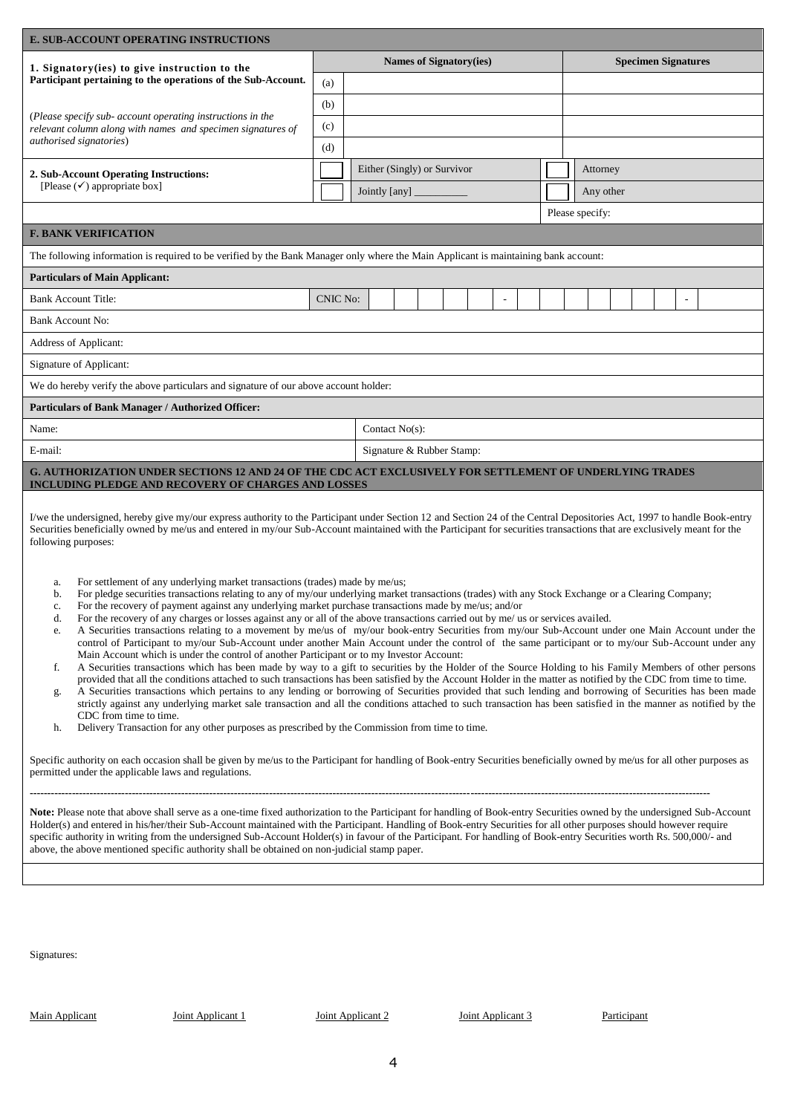| <b>E. SUB-ACCOUNT OPERATING INSTRUCTIONS</b>                                                                                                                                                                                                                                                                                                                                                                                                                                                                                                                                                                                                                                                                                                                                                                                                                                                                                                                                                                                                                                                                                                                                                                                                                                                                                                                                                                                                                                                                                                                                                                                                                                                                                                                                                                                                                                                                                                                                                                                                                                                                                                                                                                                                                                                                                                                                                                                                                                                                                                                                                                                                                                                                                                                                                                                                                                   |          |                                         |                                |  |  |  |  |  |                 |                            |  |  |                                                                                                                                                                      |  |
|--------------------------------------------------------------------------------------------------------------------------------------------------------------------------------------------------------------------------------------------------------------------------------------------------------------------------------------------------------------------------------------------------------------------------------------------------------------------------------------------------------------------------------------------------------------------------------------------------------------------------------------------------------------------------------------------------------------------------------------------------------------------------------------------------------------------------------------------------------------------------------------------------------------------------------------------------------------------------------------------------------------------------------------------------------------------------------------------------------------------------------------------------------------------------------------------------------------------------------------------------------------------------------------------------------------------------------------------------------------------------------------------------------------------------------------------------------------------------------------------------------------------------------------------------------------------------------------------------------------------------------------------------------------------------------------------------------------------------------------------------------------------------------------------------------------------------------------------------------------------------------------------------------------------------------------------------------------------------------------------------------------------------------------------------------------------------------------------------------------------------------------------------------------------------------------------------------------------------------------------------------------------------------------------------------------------------------------------------------------------------------------------------------------------------------------------------------------------------------------------------------------------------------------------------------------------------------------------------------------------------------------------------------------------------------------------------------------------------------------------------------------------------------------------------------------------------------------------------------------------------------|----------|-----------------------------------------|--------------------------------|--|--|--|--|--|-----------------|----------------------------|--|--|----------------------------------------------------------------------------------------------------------------------------------------------------------------------|--|
| 1. Signatory (ies) to give instruction to the                                                                                                                                                                                                                                                                                                                                                                                                                                                                                                                                                                                                                                                                                                                                                                                                                                                                                                                                                                                                                                                                                                                                                                                                                                                                                                                                                                                                                                                                                                                                                                                                                                                                                                                                                                                                                                                                                                                                                                                                                                                                                                                                                                                                                                                                                                                                                                                                                                                                                                                                                                                                                                                                                                                                                                                                                                  |          |                                         | <b>Names of Signatory(ies)</b> |  |  |  |  |  |                 | <b>Specimen Signatures</b> |  |  |                                                                                                                                                                      |  |
| Participant pertaining to the operations of the Sub-Account.                                                                                                                                                                                                                                                                                                                                                                                                                                                                                                                                                                                                                                                                                                                                                                                                                                                                                                                                                                                                                                                                                                                                                                                                                                                                                                                                                                                                                                                                                                                                                                                                                                                                                                                                                                                                                                                                                                                                                                                                                                                                                                                                                                                                                                                                                                                                                                                                                                                                                                                                                                                                                                                                                                                                                                                                                   | (a)      |                                         |                                |  |  |  |  |  |                 |                            |  |  |                                                                                                                                                                      |  |
|                                                                                                                                                                                                                                                                                                                                                                                                                                                                                                                                                                                                                                                                                                                                                                                                                                                                                                                                                                                                                                                                                                                                                                                                                                                                                                                                                                                                                                                                                                                                                                                                                                                                                                                                                                                                                                                                                                                                                                                                                                                                                                                                                                                                                                                                                                                                                                                                                                                                                                                                                                                                                                                                                                                                                                                                                                                                                | (b)      |                                         |                                |  |  |  |  |  |                 |                            |  |  |                                                                                                                                                                      |  |
| (Please specify sub- account operating instructions in the<br>relevant column along with names and specimen signatures of                                                                                                                                                                                                                                                                                                                                                                                                                                                                                                                                                                                                                                                                                                                                                                                                                                                                                                                                                                                                                                                                                                                                                                                                                                                                                                                                                                                                                                                                                                                                                                                                                                                                                                                                                                                                                                                                                                                                                                                                                                                                                                                                                                                                                                                                                                                                                                                                                                                                                                                                                                                                                                                                                                                                                      | (c)      |                                         |                                |  |  |  |  |  |                 |                            |  |  |                                                                                                                                                                      |  |
| authorised signatories)                                                                                                                                                                                                                                                                                                                                                                                                                                                                                                                                                                                                                                                                                                                                                                                                                                                                                                                                                                                                                                                                                                                                                                                                                                                                                                                                                                                                                                                                                                                                                                                                                                                                                                                                                                                                                                                                                                                                                                                                                                                                                                                                                                                                                                                                                                                                                                                                                                                                                                                                                                                                                                                                                                                                                                                                                                                        | (d)      |                                         |                                |  |  |  |  |  |                 |                            |  |  |                                                                                                                                                                      |  |
| 2. Sub-Account Operating Instructions:                                                                                                                                                                                                                                                                                                                                                                                                                                                                                                                                                                                                                                                                                                                                                                                                                                                                                                                                                                                                                                                                                                                                                                                                                                                                                                                                                                                                                                                                                                                                                                                                                                                                                                                                                                                                                                                                                                                                                                                                                                                                                                                                                                                                                                                                                                                                                                                                                                                                                                                                                                                                                                                                                                                                                                                                                                         |          | Either (Singly) or Survivor<br>Attorney |                                |  |  |  |  |  |                 |                            |  |  |                                                                                                                                                                      |  |
| [Please $(\checkmark)$ appropriate box]                                                                                                                                                                                                                                                                                                                                                                                                                                                                                                                                                                                                                                                                                                                                                                                                                                                                                                                                                                                                                                                                                                                                                                                                                                                                                                                                                                                                                                                                                                                                                                                                                                                                                                                                                                                                                                                                                                                                                                                                                                                                                                                                                                                                                                                                                                                                                                                                                                                                                                                                                                                                                                                                                                                                                                                                                                        |          | Jointly [any] __                        |                                |  |  |  |  |  | Any other       |                            |  |  |                                                                                                                                                                      |  |
|                                                                                                                                                                                                                                                                                                                                                                                                                                                                                                                                                                                                                                                                                                                                                                                                                                                                                                                                                                                                                                                                                                                                                                                                                                                                                                                                                                                                                                                                                                                                                                                                                                                                                                                                                                                                                                                                                                                                                                                                                                                                                                                                                                                                                                                                                                                                                                                                                                                                                                                                                                                                                                                                                                                                                                                                                                                                                |          |                                         |                                |  |  |  |  |  | Please specify: |                            |  |  |                                                                                                                                                                      |  |
| <b>F. BANK VERIFICATION</b>                                                                                                                                                                                                                                                                                                                                                                                                                                                                                                                                                                                                                                                                                                                                                                                                                                                                                                                                                                                                                                                                                                                                                                                                                                                                                                                                                                                                                                                                                                                                                                                                                                                                                                                                                                                                                                                                                                                                                                                                                                                                                                                                                                                                                                                                                                                                                                                                                                                                                                                                                                                                                                                                                                                                                                                                                                                    |          |                                         |                                |  |  |  |  |  |                 |                            |  |  |                                                                                                                                                                      |  |
| The following information is required to be verified by the Bank Manager only where the Main Applicant is maintaining bank account:                                                                                                                                                                                                                                                                                                                                                                                                                                                                                                                                                                                                                                                                                                                                                                                                                                                                                                                                                                                                                                                                                                                                                                                                                                                                                                                                                                                                                                                                                                                                                                                                                                                                                                                                                                                                                                                                                                                                                                                                                                                                                                                                                                                                                                                                                                                                                                                                                                                                                                                                                                                                                                                                                                                                            |          |                                         |                                |  |  |  |  |  |                 |                            |  |  |                                                                                                                                                                      |  |
| <b>Particulars of Main Applicant:</b>                                                                                                                                                                                                                                                                                                                                                                                                                                                                                                                                                                                                                                                                                                                                                                                                                                                                                                                                                                                                                                                                                                                                                                                                                                                                                                                                                                                                                                                                                                                                                                                                                                                                                                                                                                                                                                                                                                                                                                                                                                                                                                                                                                                                                                                                                                                                                                                                                                                                                                                                                                                                                                                                                                                                                                                                                                          |          |                                         |                                |  |  |  |  |  |                 |                            |  |  |                                                                                                                                                                      |  |
| <b>Bank Account Title:</b>                                                                                                                                                                                                                                                                                                                                                                                                                                                                                                                                                                                                                                                                                                                                                                                                                                                                                                                                                                                                                                                                                                                                                                                                                                                                                                                                                                                                                                                                                                                                                                                                                                                                                                                                                                                                                                                                                                                                                                                                                                                                                                                                                                                                                                                                                                                                                                                                                                                                                                                                                                                                                                                                                                                                                                                                                                                     | CNIC No: |                                         |                                |  |  |  |  |  |                 |                            |  |  |                                                                                                                                                                      |  |
| <b>Bank Account No:</b>                                                                                                                                                                                                                                                                                                                                                                                                                                                                                                                                                                                                                                                                                                                                                                                                                                                                                                                                                                                                                                                                                                                                                                                                                                                                                                                                                                                                                                                                                                                                                                                                                                                                                                                                                                                                                                                                                                                                                                                                                                                                                                                                                                                                                                                                                                                                                                                                                                                                                                                                                                                                                                                                                                                                                                                                                                                        |          |                                         |                                |  |  |  |  |  |                 |                            |  |  |                                                                                                                                                                      |  |
| Address of Applicant:                                                                                                                                                                                                                                                                                                                                                                                                                                                                                                                                                                                                                                                                                                                                                                                                                                                                                                                                                                                                                                                                                                                                                                                                                                                                                                                                                                                                                                                                                                                                                                                                                                                                                                                                                                                                                                                                                                                                                                                                                                                                                                                                                                                                                                                                                                                                                                                                                                                                                                                                                                                                                                                                                                                                                                                                                                                          |          |                                         |                                |  |  |  |  |  |                 |                            |  |  |                                                                                                                                                                      |  |
| Signature of Applicant:                                                                                                                                                                                                                                                                                                                                                                                                                                                                                                                                                                                                                                                                                                                                                                                                                                                                                                                                                                                                                                                                                                                                                                                                                                                                                                                                                                                                                                                                                                                                                                                                                                                                                                                                                                                                                                                                                                                                                                                                                                                                                                                                                                                                                                                                                                                                                                                                                                                                                                                                                                                                                                                                                                                                                                                                                                                        |          |                                         |                                |  |  |  |  |  |                 |                            |  |  |                                                                                                                                                                      |  |
| We do hereby verify the above particulars and signature of our above account holder:                                                                                                                                                                                                                                                                                                                                                                                                                                                                                                                                                                                                                                                                                                                                                                                                                                                                                                                                                                                                                                                                                                                                                                                                                                                                                                                                                                                                                                                                                                                                                                                                                                                                                                                                                                                                                                                                                                                                                                                                                                                                                                                                                                                                                                                                                                                                                                                                                                                                                                                                                                                                                                                                                                                                                                                           |          |                                         |                                |  |  |  |  |  |                 |                            |  |  |                                                                                                                                                                      |  |
| Particulars of Bank Manager / Authorized Officer:                                                                                                                                                                                                                                                                                                                                                                                                                                                                                                                                                                                                                                                                                                                                                                                                                                                                                                                                                                                                                                                                                                                                                                                                                                                                                                                                                                                                                                                                                                                                                                                                                                                                                                                                                                                                                                                                                                                                                                                                                                                                                                                                                                                                                                                                                                                                                                                                                                                                                                                                                                                                                                                                                                                                                                                                                              |          |                                         |                                |  |  |  |  |  |                 |                            |  |  |                                                                                                                                                                      |  |
| Contact No(s):<br>Name:                                                                                                                                                                                                                                                                                                                                                                                                                                                                                                                                                                                                                                                                                                                                                                                                                                                                                                                                                                                                                                                                                                                                                                                                                                                                                                                                                                                                                                                                                                                                                                                                                                                                                                                                                                                                                                                                                                                                                                                                                                                                                                                                                                                                                                                                                                                                                                                                                                                                                                                                                                                                                                                                                                                                                                                                                                                        |          |                                         |                                |  |  |  |  |  |                 |                            |  |  |                                                                                                                                                                      |  |
| E-mail:<br>Signature & Rubber Stamp:                                                                                                                                                                                                                                                                                                                                                                                                                                                                                                                                                                                                                                                                                                                                                                                                                                                                                                                                                                                                                                                                                                                                                                                                                                                                                                                                                                                                                                                                                                                                                                                                                                                                                                                                                                                                                                                                                                                                                                                                                                                                                                                                                                                                                                                                                                                                                                                                                                                                                                                                                                                                                                                                                                                                                                                                                                           |          |                                         |                                |  |  |  |  |  |                 |                            |  |  |                                                                                                                                                                      |  |
|                                                                                                                                                                                                                                                                                                                                                                                                                                                                                                                                                                                                                                                                                                                                                                                                                                                                                                                                                                                                                                                                                                                                                                                                                                                                                                                                                                                                                                                                                                                                                                                                                                                                                                                                                                                                                                                                                                                                                                                                                                                                                                                                                                                                                                                                                                                                                                                                                                                                                                                                                                                                                                                                                                                                                                                                                                                                                |          |                                         |                                |  |  |  |  |  |                 |                            |  |  |                                                                                                                                                                      |  |
| G. AUTHORIZATION UNDER SECTIONS 12 AND 24 OF THE CDC ACT EXCLUSIVELY FOR SETTLEMENT OF UNDERLYING TRADES<br>INCLUDING PLEDGE AND RECOVERY OF CHARGES AND LOSSES<br>I/we the undersigned, hereby give my/our express authority to the Participant under Section 12 and Section 24 of the Central Depositories Act, 1997 to handle Book-entry<br>Securities beneficially owned by me/us and entered in my/our Sub-Account maintained with the Participant for securities transactions that are exclusively meant for the<br>following purposes:<br>For settlement of any underlying market transactions (trades) made by me/us;<br>a.<br>For pledge securities transactions relating to any of my/our underlying market transactions (trades) with any Stock Exchange or a Clearing Company;<br>b.<br>For the recovery of payment against any underlying market purchase transactions made by me/us; and/or<br>c.<br>For the recovery of any charges or losses against any or all of the above transactions carried out by me/ us or services availed.<br>d.<br>A Securities transactions relating to a movement by me/us of my/our book-entry Securities from my/our Sub-Account under one Main Account under the<br>e.<br>control of Participant to my/our Sub-Account under another Main Account under the control of the same participant or to my/our Sub-Account under any<br>Main Account which is under the control of another Participant or to my Investor Account:<br>A Securities transactions which has been made by way to a gift to securities by the Holder of the Source Holding to his Family Members of other persons<br>f.<br>provided that all the conditions attached to such transactions has been satisfied by the Account Holder in the matter as notified by the CDC from time to time.<br>A Securities transactions which pertains to any lending or borrowing of Securities provided that such lending and borrowing of Securities has been made<br>g.<br>strictly against any underlying market sale transaction and all the conditions attached to such transaction has been satisfied in the manner as notified by the<br>CDC from time to time.<br>Delivery Transaction for any other purposes as prescribed by the Commission from time to time.<br>h.<br>Specific authority on each occasion shall be given by me/us to the Participant for handling of Book-entry Securities beneficially owned by me/us for all other purposes as<br>permitted under the applicable laws and regulations.<br>Note: Please note that above shall serve as a one-time fixed authorization to the Participant for handling of Book-entry Securities owned by the undersigned Sub-Account<br>Holder(s) and entered in his/her/their Sub-Account maintained with the Participant. Handling of Book-entry Securities for all other purposes should however require |          |                                         |                                |  |  |  |  |  |                 |                            |  |  | specific authority in writing from the undersigned Sub-Account Holder(s) in favour of the Participant. For handling of Book-entry Securities worth Rs. 500,000/- and |  |
|                                                                                                                                                                                                                                                                                                                                                                                                                                                                                                                                                                                                                                                                                                                                                                                                                                                                                                                                                                                                                                                                                                                                                                                                                                                                                                                                                                                                                                                                                                                                                                                                                                                                                                                                                                                                                                                                                                                                                                                                                                                                                                                                                                                                                                                                                                                                                                                                                                                                                                                                                                                                                                                                                                                                                                                                                                                                                |          |                                         |                                |  |  |  |  |  |                 |                            |  |  |                                                                                                                                                                      |  |
|                                                                                                                                                                                                                                                                                                                                                                                                                                                                                                                                                                                                                                                                                                                                                                                                                                                                                                                                                                                                                                                                                                                                                                                                                                                                                                                                                                                                                                                                                                                                                                                                                                                                                                                                                                                                                                                                                                                                                                                                                                                                                                                                                                                                                                                                                                                                                                                                                                                                                                                                                                                                                                                                                                                                                                                                                                                                                |          |                                         |                                |  |  |  |  |  |                 |                            |  |  |                                                                                                                                                                      |  |
|                                                                                                                                                                                                                                                                                                                                                                                                                                                                                                                                                                                                                                                                                                                                                                                                                                                                                                                                                                                                                                                                                                                                                                                                                                                                                                                                                                                                                                                                                                                                                                                                                                                                                                                                                                                                                                                                                                                                                                                                                                                                                                                                                                                                                                                                                                                                                                                                                                                                                                                                                                                                                                                                                                                                                                                                                                                                                |          |                                         |                                |  |  |  |  |  |                 |                            |  |  |                                                                                                                                                                      |  |

Signatures:

Main Applicant 1 Joint Applicant 1 Joint Applicant 2 Joint Applicant 3 Participant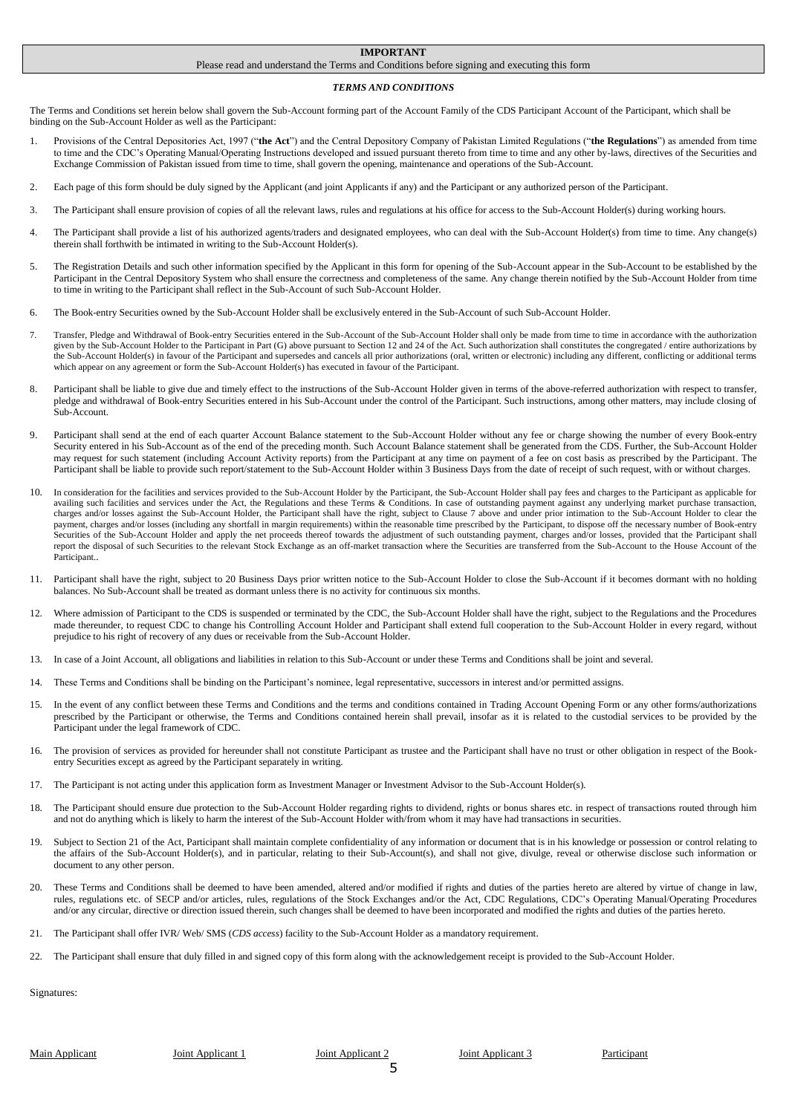#### **IMPORTANT**

#### Please read and understand the Terms and Conditions before signing and executing this form

#### *TERMS AND CONDITIONS*

The Terms and Conditions set herein below shall govern the Sub-Account forming part of the Account Family of the CDS Participant Account of the Participant, which shall be binding on the Sub-Account Holder as well as the Participant:

- 1. Provisions of the Central Depositories Act, 1997 ("**the Act**") and the Central Depository Company of Pakistan Limited Regulations ("**the Regulations**") as amended from time to time and the CDC's Operating Manual/Operating Instructions developed and issued pursuant thereto from time to time and any other by-laws, directives of the Securities and Exchange Commission of Pakistan issued from time to time, shall govern the opening, maintenance and operations of the Sub-Account.
- 2. Each page of this form should be duly signed by the Applicant (and joint Applicants if any) and the Participant or any authorized person of the Participant.
- 3. The Participant shall ensure provision of copies of all the relevant laws, rules and regulations at his office for access to the Sub-Account Holder(s) during working hours.
- 4. The Participant shall provide a list of his authorized agents/traders and designated employees, who can deal with the Sub-Account Holder(s) from time to time. Any change(s) therein shall forthwith be intimated in writing to the Sub-Account Holder(s).
- 5. The Registration Details and such other information specified by the Applicant in this form for opening of the Sub-Account appear in the Sub-Account to be established by the Participant in the Central Depository System who shall ensure the correctness and completeness of the same. Any change therein notified by the Sub-Account Holder from time to time in writing to the Participant shall reflect in the Sub-Account of such Sub-Account Holder.
- 6. The Book-entry Securities owned by the Sub-Account Holder shall be exclusively entered in the Sub-Account of such Sub-Account Holder.
- 7. Transfer, Pledge and Withdrawal of Book-entry Securities entered in the Sub-Account of the Sub-Account Holder shall only be made from time to time in accordance with the authorization given by the Sub-Account Holder to the Participant in Part (G) above pursuant to Section 12 and 24 of the Act. Such authorization shall constitutes the congregated / entire authorizations by the Sub-Account Holder(s) in favour of the Participant and supersedes and cancels all prior authorizations (oral, written or electronic) including any different, conflicting or additional terms which appear on any agreement or form the Sub-Account Holder(s) has executed in favour of the Participant.
- 8. Participant shall be liable to give due and timely effect to the instructions of the Sub-Account Holder given in terms of the above-referred authorization with respect to transfer, pledge and withdrawal of Book-entry Securities entered in his Sub-Account under the control of the Participant. Such instructions, among other matters, may include closing of Sub-Account.
- Participant shall send at the end of each quarter Account Balance statement to the Sub-Account Holder without any fee or charge showing the number of every Book-entry Security entered in his Sub-Account as of the end of the preceding month. Such Account Balance statement shall be generated from the CDS. Further, the Sub-Account Holder may request for such statement (including Account Activity reports) from the Participant at any time on payment of a fee on cost basis as prescribed by the Participant. The Participant shall be liable to provide such report/statement to the Sub-Account Holder within 3 Business Days from the date of receipt of such request, with or without charges.
- 10. In consideration for the facilities and services provided to the Sub-Account Holder by the Participant, the Sub-Account Holder shall pay fees and charges to the Participant as applicable for availing such facilities and services under the Act, the Regulations and these Terms & Conditions. In case of outstanding payment against any underlying market purchase transaction, charges and/or losses against the Sub-Account Holder, the Participant shall have the right, subject to Clause 7 above and under prior intimation to the Sub-Account Holder to clear the payment, charges and/or losses (including any shortfall in margin requirements) within the reasonable time prescribed by the Participant, to dispose off the necessary number of Book-entry Securities of the Sub-Account Holder and apply the net proceeds thereof towards the adjustment of such outstanding payment, charges and/or losses, provided that the Participant shall report the disposal of such Securities to the relevant Stock Exchange as an off-market transaction where the Securities are transferred from the Sub-Account to the House Account of the Participant..
- 11. Participant shall have the right, subject to 20 Business Days prior written notice to the Sub-Account Holder to close the Sub-Account if it becomes dormant with no holding balances. No Sub-Account shall be treated as dormant unless there is no activity for continuous six months.
- 12. Where admission of Participant to the CDS is suspended or terminated by the CDC, the Sub-Account Holder shall have the right, subject to the Regulations and the Procedures made thereunder, to request CDC to change his Controlling Account Holder and Participant shall extend full cooperation to the Sub-Account Holder in every regard, without prejudice to his right of recovery of any dues or receivable from the Sub-Account Holder.
- 13. In case of a Joint Account, all obligations and liabilities in relation to this Sub-Account or under these Terms and Conditions shall be joint and several.
- 14. These Terms and Conditions shall be binding on the Participant's nominee, legal representative, successors in interest and/or permitted assigns.
- 15. In the event of any conflict between these Terms and Conditions and the terms and conditions contained in Trading Account Opening Form or any other forms/authorizations prescribed by the Participant or otherwise, the Terms and Conditions contained herein shall prevail, insofar as it is related to the custodial services to be provided by the Participant under the legal framework of CDC.
- 16. The provision of services as provided for hereunder shall not constitute Participant as trustee and the Participant shall have no trust or other obligation in respect of the Bookentry Securities except as agreed by the Participant separately in writing.
- 17. The Participant is not acting under this application form as Investment Manager or Investment Advisor to the Sub-Account Holder(s).
- 18. The Participant should ensure due protection to the Sub-Account Holder regarding rights to dividend, rights or bonus shares etc. in respect of transactions routed through him and not do anything which is likely to harm the interest of the Sub-Account Holder with/from whom it may have had transactions in securities.
- 19. Subject to Section 21 of the Act, Participant shall maintain complete confidentiality of any information or document that is in his knowledge or possession or control relating to the affairs of the Sub-Account Holder(s), and in particular, relating to their Sub-Account(s), and shall not give, divulge, reveal or otherwise disclose such information or document to any other person.
- 20. These Terms and Conditions shall be deemed to have been amended, altered and/or modified if rights and duties of the parties hereto are altered by virtue of change in law, rules, regulations etc. of SECP and/or articles, rules, regulations of the Stock Exchanges and/or the Act, CDC Regulations, CDC's Operating Manual/Operating Procedures and/or any circular, directive or direction issued therein, such changes shall be deemed to have been incorporated and modified the rights and duties of the parties hereto.
- 21. The Participant shall offer IVR/ Web/ SMS (*CDS access*) facility to the Sub-Account Holder as a mandatory requirement.
- 22. The Participant shall ensure that duly filled in and signed copy of this form along with the acknowledgement receipt is provided to the Sub-Account Holder.

Signatures:

Main Applicant 1 Joint Applicant 1 Joint Applicant 2 Joint Applicant 3 Participant 5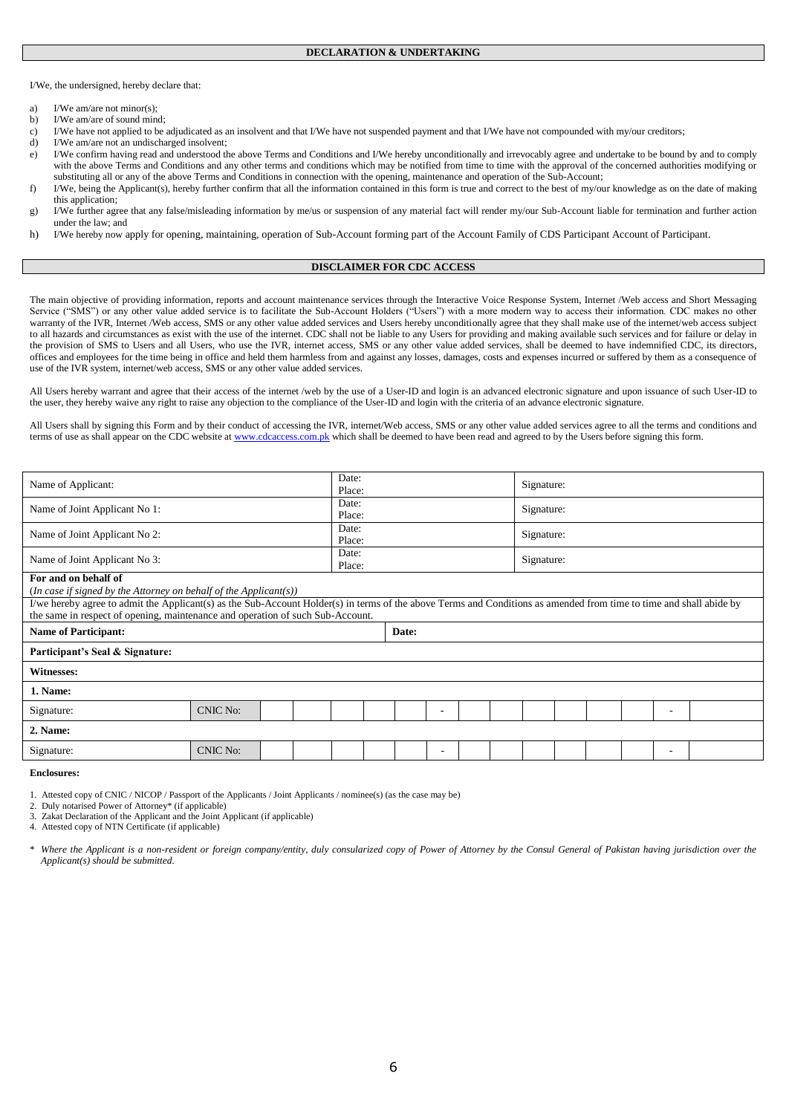I/We, the undersigned, hereby declare that:

- I/We am/are not minor(s):
- b) I/We am/are of sound mind;
- c) I/We have not applied to be adjudicated as an insolvent and that I/We have not suspended payment and that I/We have not compounded with my/our creditors;
- d) I/We am/are not an undischarged insolvent;
- e) I/We confirm having read and understood the above Terms and Conditions and I/We hereby unconditionally and irrevocably agree and undertake to be bound by and to comply with the above Terms and Conditions and any other terms and conditions which may be notified from time to time with the approval of the concerned authorities modifying or substituting all or any of the above Terms and Conditions in connection with the opening, maintenance and operation of the Sub-Account;
- f) I/We, being the Applicant(s), hereby further confirm that all the information contained in this form is true and correct to the best of my/our knowledge as on the date of making this application;
- g) I/We further agree that any false/misleading information by me/us or suspension of any material fact will render my/our Sub-Account liable for termination and further action under the law; and
- h) I/We hereby now apply for opening, maintaining, operation of Sub-Account forming part of the Account Family of CDS Participant Account of Participant.

#### **DISCLAIMER FOR CDC ACCESS**

The main objective of providing information, reports and account maintenance services through the Interactive Voice Response System, Internet /Web access and Short Messaging Service ("SMS") or any other value added service is to facilitate the Sub-Account Holders ("Users") with a more modern way to access their information. CDC makes no other warranty of the IVR, Internet /Web access, SMS or any other value added services and Users hereby unconditionally agree that they shall make use of the internet/web access subject to all hazards and circumstances as exist with the use of the internet. CDC shall not be liable to any Users for providing and making available such services and for failure or delay in the provision of SMS to Users and all Users, who use the IVR, internet access, SMS or any other value added services, shall be deemed to have indemnified CDC, its directors, offices and employees for the time being in office and held them harmless from and against any losses, damages, costs and expenses incurred or suffered by them as a consequence of use of the IVR system, internet/web access, SMS or any other value added services.

All Users hereby warrant and agree that their access of the internet /web by the use of a User-ID and login is an advanced electronic signature and upon issuance of such User-ID to the user, they hereby waive any right to raise any objection to the compliance of the User-ID and login with the criteria of an advance electronic signature.

All Users shall by signing this Form and by their conduct of accessing the IVR, internet/Web access, SMS or any other value added services agree to all the terms and conditions and terms of use as shall appear on the CDC website a[t www.cdcaccess.com.pk](http://www.cdcaccess.com.pk/) which shall be deemed to have been read and agreed to by the Users before signing this form.

| Name of Applicant:                                                                                                                                                                                                                                    |                 |  | Date:<br>Place: |       |  |  |                          |  | Signature: |  |  |  |  |   |  |
|-------------------------------------------------------------------------------------------------------------------------------------------------------------------------------------------------------------------------------------------------------|-----------------|--|-----------------|-------|--|--|--------------------------|--|------------|--|--|--|--|---|--|
| Name of Joint Applicant No 1:                                                                                                                                                                                                                         |                 |  | Date:<br>Place: |       |  |  |                          |  | Signature: |  |  |  |  |   |  |
| Name of Joint Applicant No 2:                                                                                                                                                                                                                         |                 |  | Date:<br>Place: |       |  |  |                          |  | Signature: |  |  |  |  |   |  |
| Name of Joint Applicant No 3:                                                                                                                                                                                                                         |                 |  | Date:<br>Place: |       |  |  |                          |  | Signature: |  |  |  |  |   |  |
| For and on behalf of<br>(In case if signed by the Attorney on behalf of the Applicant(s))                                                                                                                                                             |                 |  |                 |       |  |  |                          |  |            |  |  |  |  |   |  |
| I/we hereby agree to admit the Applicant(s) as the Sub-Account Holder(s) in terms of the above Terms and Conditions as amended from time to time and shall abide by<br>the same in respect of opening, maintenance and operation of such Sub-Account. |                 |  |                 |       |  |  |                          |  |            |  |  |  |  |   |  |
| <b>Name of Participant:</b>                                                                                                                                                                                                                           |                 |  |                 | Date: |  |  |                          |  |            |  |  |  |  |   |  |
| Participant's Seal & Signature:                                                                                                                                                                                                                       |                 |  |                 |       |  |  |                          |  |            |  |  |  |  |   |  |
| Witnesses:                                                                                                                                                                                                                                            |                 |  |                 |       |  |  |                          |  |            |  |  |  |  |   |  |
| 1. Name:                                                                                                                                                                                                                                              |                 |  |                 |       |  |  |                          |  |            |  |  |  |  |   |  |
| Signature:                                                                                                                                                                                                                                            | <b>CNIC No:</b> |  |                 |       |  |  |                          |  |            |  |  |  |  | ۰ |  |
| 2. Name:                                                                                                                                                                                                                                              |                 |  |                 |       |  |  |                          |  |            |  |  |  |  |   |  |
| Signature:                                                                                                                                                                                                                                            | <b>CNIC No:</b> |  |                 |       |  |  | $\overline{\phantom{a}}$ |  |            |  |  |  |  | ۰ |  |

**Enclosures:**

1. Attested copy of CNIC / NICOP / Passport of the Applicants / Joint Applicants / nominee(s) (as the case may be)

2. Duly notarised Power of Attorney\* (if applicable) 3. Zakat Declaration of the Applicant and the Joint Applicant (if applicable)

4. Attested copy of NTN Certificate (if applicable)

\* *Where the Applicant is a non-resident or foreign company/entity, duly consularized copy of Power of Attorney by the Consul General of Pakistan having jurisdiction over the Applicant(s) should be submitted*.